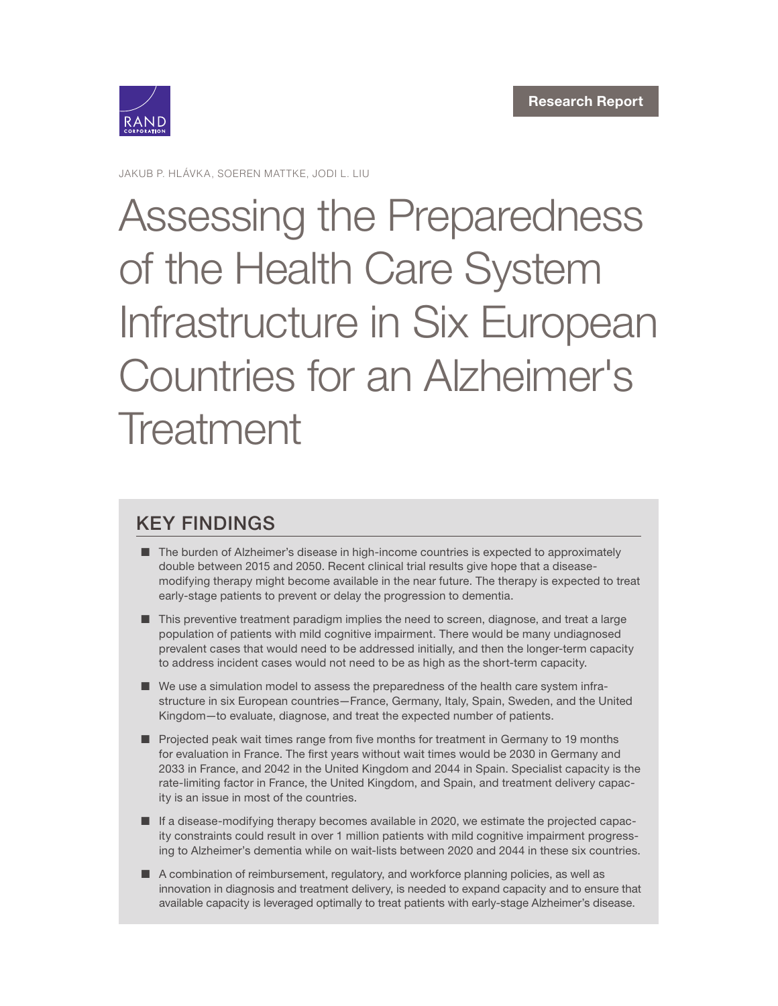

JAKUB P. HLÁVKA, SOEREN MATTKE, JODI L. LIU

# Assessing the Preparedness of the Health Care System [Infrastructure in Six European](https://www.rand.org/pubs/research_reports/RR2503.html)  Countries for an Alzheimer's **Treatment**

## KEY FINDINGS

- The burden of Alzheimer's disease in high-income countries is expected to approximately double between 2015 and 2050. Recent clinical trial results give hope that a diseasemodifying therapy might become available in the near future. The therapy is expected to treat early-stage patients to prevent or delay the progression to dementia.
- This preventive treatment paradigm implies the need to screen, diagnose, and treat a large population of patients with mild cognitive impairment. There would be many undiagnosed prevalent cases that would need to be addressed initially, and then the longer-term capacity to address incident cases would not need to be as high as the short-term capacity.
- We use a simulation model to assess the preparedness of the health care system infrastructure in six European countries—France, Germany, Italy, Spain, Sweden, and the United Kingdom—to evaluate, diagnose, and treat the expected number of patients.
- Projected peak wait times range from five months for treatment in Germany to 19 months for evaluation in France. The first years without wait times would be 2030 in Germany and 2033 in France, and 2042 in the United Kingdom and 2044 in Spain. Specialist capacity is the rate-limiting factor in France, the United Kingdom, and Spain, and treatment delivery capacity is an issue in most of the countries.
- If a disease-modifying therapy becomes available in 2020, we estimate the projected capacity constraints could result in over 1 million patients with mild cognitive impairment progressing to Alzheimer's dementia while on wait-lists between 2020 and 2044 in these six countries.
- A combination of reimbursement, regulatory, and workforce planning policies, as well as innovation in diagnosis and treatment delivery, is needed to expand capacity and to ensure that available capacity is leveraged optimally to treat patients with early-stage Alzheimer's disease.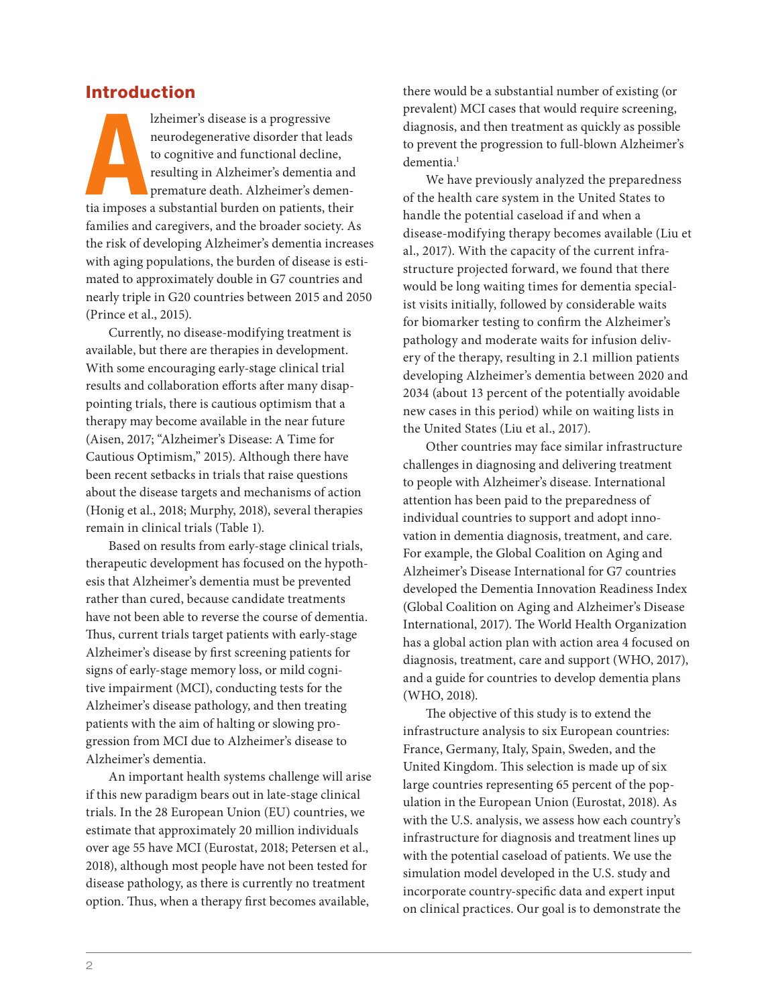## Introduction

Izheimer's disease is a progressive<br>neurodegenerative disorder that leads<br>to cognitive and functional decline,<br>resulting in Alzheimer's dementia and<br>premature death. Alzheimer's demen-<br>tia imposes a substantial burden on p lzheimer's disease is a progressive neurodegenerative disorder that leads to cognitive and functional decline, resulting in Alzheimer's dementia and premature death. Alzheimer's demenfamilies and caregivers, and the broader society. As the risk of developing Alzheimer's dementia increases with aging populations, the burden of disease is estimated to approximately double in G7 countries and nearly triple in G20 countries between 2015 and 2050 (Prince et al., 2015).

Currently, no disease-modifying treatment is available, but there are therapies in development. With some encouraging early-stage clinical trial results and collaboration efforts after many disappointing trials, there is cautious optimism that a therapy may become available in the near future (Aisen, 2017; "Alzheimer's Disease: A Time for Cautious Optimism," 2015). Although there have been recent setbacks in trials that raise questions about the disease targets and mechanisms of action (Honig et al., 2018; Murphy, 2018), several therapies remain in clinical trials (Table 1).

Based on results from early-stage clinical trials, therapeutic development has focused on the hypothesis that Alzheimer's dementia must be prevented rather than cured, because candidate treatments have not been able to reverse the course of dementia. Thus, current trials target patients with early-stage Alzheimer's disease by first screening patients for signs of early-stage memory loss, or mild cognitive impairment (MCI), conducting tests for the Alzheimer's disease pathology, and then treating patients with the aim of halting or slowing progression from MCI due to Alzheimer's disease to Alzheimer's dementia.

An important health systems challenge will arise if this new paradigm bears out in late-stage clinical trials. In the 28 European Union (EU) countries, we estimate that approximately 20 million individuals over age 55 have MCI (Eurostat, 2018; Petersen et al., 2018), although most people have not been tested for disease pathology, as there is currently no treatment option. Thus, when a therapy first becomes available,

there would be a substantial number of existing (or prevalent) MCI cases that would require screening, diagnosis, and then treatment as quickly as possible to prevent the progression to full-blown Alzheimer's dementia.<sup>1</sup>

We have previously analyzed the preparedness of the health care system in the United States to handle the potential caseload if and when a disease-modifying therapy becomes available (Liu et al., 2017). With the capacity of the current infrastructure projected forward, we found that there would be long waiting times for dementia specialist visits initially, followed by considerable waits for biomarker testing to confirm the Alzheimer's pathology and moderate waits for infusion delivery of the therapy, resulting in 2.1 million patients developing Alzheimer's dementia between 2020 and 2034 (about 13 percent of the potentially avoidable new cases in this period) while on waiting lists in the United States (Liu et al., 2017).

Other countries may face similar infrastructure challenges in diagnosing and delivering treatment to people with Alzheimer's disease. International attention has been paid to the preparedness of individual countries to support and adopt innovation in dementia diagnosis, treatment, and care. For example, the Global Coalition on Aging and Alzheimer's Disease International for G7 countries developed the Dementia Innovation Readiness Index (Global Coalition on Aging and Alzheimer's Disease International, 2017). The World Health Organization has a global action plan with action area 4 focused on diagnosis, treatment, care and support (WHO, 2017), and a guide for countries to develop dementia plans (WHO, 2018).

The objective of this study is to extend the infrastructure analysis to six European countries: France, Germany, Italy, Spain, Sweden, and the United Kingdom. This selection is made up of six large countries representing 65 percent of the population in the European Union (Eurostat, 2018). As with the U.S. analysis, we assess how each country's infrastructure for diagnosis and treatment lines up with the potential caseload of patients. We use the simulation model developed in the U.S. study and incorporate country-specific data and expert input on clinical practices. Our goal is to demonstrate the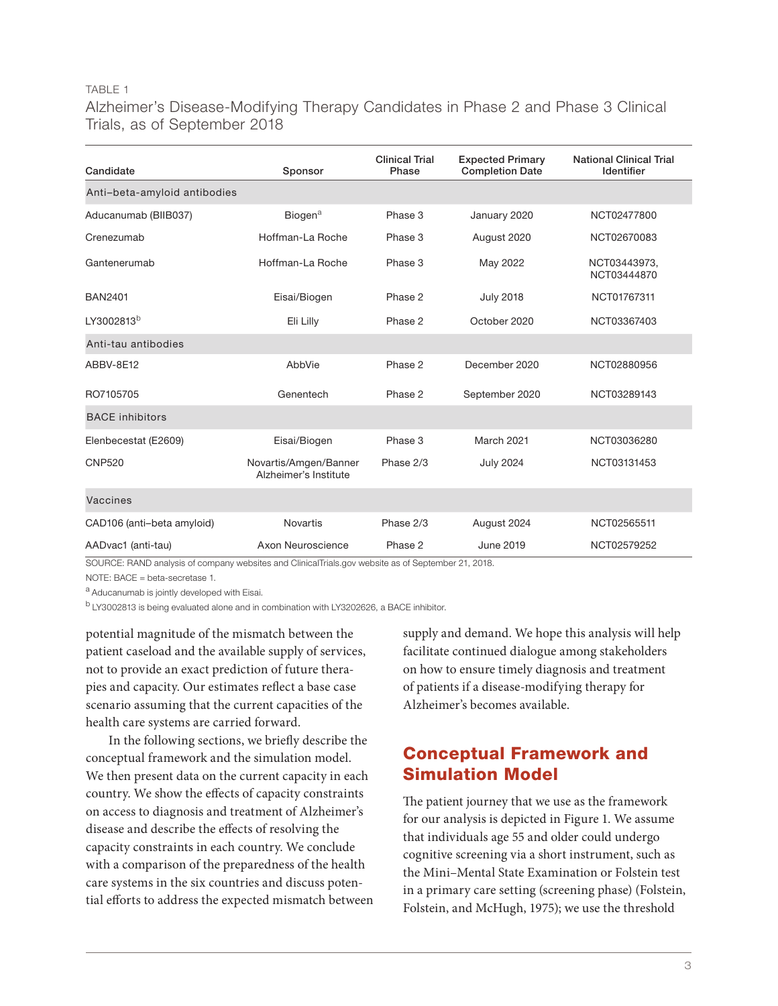#### TABLE 1

## Alzheimer's Disease-Modifying Therapy Candidates in Phase 2 and Phase 3 Clinical Trials, as of September 2018

| Candidate                    | Sponsor                                        | <b>Clinical Trial</b><br>Phase | <b>Expected Primary</b><br><b>Completion Date</b> | <b>National Clinical Trial</b><br>Identifier |
|------------------------------|------------------------------------------------|--------------------------------|---------------------------------------------------|----------------------------------------------|
| Anti-beta-amyloid antibodies |                                                |                                |                                                   |                                              |
| Aducanumab (BIIB037)         | Biogen <sup>a</sup>                            | Phase 3                        | January 2020                                      | NCT02477800                                  |
| Crenezumab                   | Hoffman-La Roche                               | Phase 3                        | August 2020                                       | NCT02670083                                  |
| Gantenerumab                 | Hoffman-La Roche                               | Phase 3                        | May 2022                                          | NCT03443973,<br>NCT03444870                  |
| <b>BAN2401</b>               | Eisai/Biogen                                   | Phase 2                        | <b>July 2018</b>                                  | NCT01767311                                  |
| LY3002813b                   | Eli Lilly                                      | Phase 2                        | October 2020                                      | NCT03367403                                  |
| Anti-tau antibodies          |                                                |                                |                                                   |                                              |
| ABBV-8E12                    | AbbVie                                         | Phase 2                        | December 2020                                     | NCT02880956                                  |
| RO7105705                    | Genentech                                      | Phase 2                        | September 2020                                    | NCT03289143                                  |
| <b>BACE</b> inhibitors       |                                                |                                |                                                   |                                              |
| Elenbecestat (E2609)         | Eisai/Biogen                                   | Phase 3                        | March 2021                                        | NCT03036280                                  |
| <b>CNP520</b>                | Novartis/Amgen/Banner<br>Alzheimer's Institute | Phase 2/3                      | <b>July 2024</b>                                  | NCT03131453                                  |
| Vaccines                     |                                                |                                |                                                   |                                              |
| CAD106 (anti-beta amyloid)   | <b>Novartis</b>                                | Phase 2/3                      | August 2024                                       | NCT02565511                                  |
| AADvac1 (anti-tau)           | Axon Neuroscience                              | Phase 2                        | June 2019                                         | NCT02579252                                  |

SOURCE: RAND analysis of company websites and ClinicalTrials.gov website as of September 21, 2018.

NOTE: BACE = beta-secretase 1.

a Aducanumab is jointly developed with Eisai.

b LY3002813 is being evaluated alone and in combination with LY3202626, a BACE inhibitor.

potential magnitude of the mismatch between the patient caseload and the available supply of services, not to provide an exact prediction of future therapies and capacity. Our estimates reflect a base case scenario assuming that the current capacities of the health care systems are carried forward.

In the following sections, we briefly describe the conceptual framework and the simulation model. We then present data on the current capacity in each country. We show the effects of capacity constraints on access to diagnosis and treatment of Alzheimer's disease and describe the effects of resolving the capacity constraints in each country. We conclude with a comparison of the preparedness of the health care systems in the six countries and discuss potential efforts to address the expected mismatch between

supply and demand. We hope this analysis will help facilitate continued dialogue among stakeholders on how to ensure timely diagnosis and treatment of patients if a disease-modifying therapy for Alzheimer's becomes available.

## Conceptual Framework and Simulation Model

The patient journey that we use as the framework for our analysis is depicted in Figure 1. We assume that individuals age 55 and older could undergo cognitive screening via a short instrument, such as the Mini–Mental State Examination or Folstein test in a primary care setting (screening phase) (Folstein, Folstein, and McHugh, 1975); we use the threshold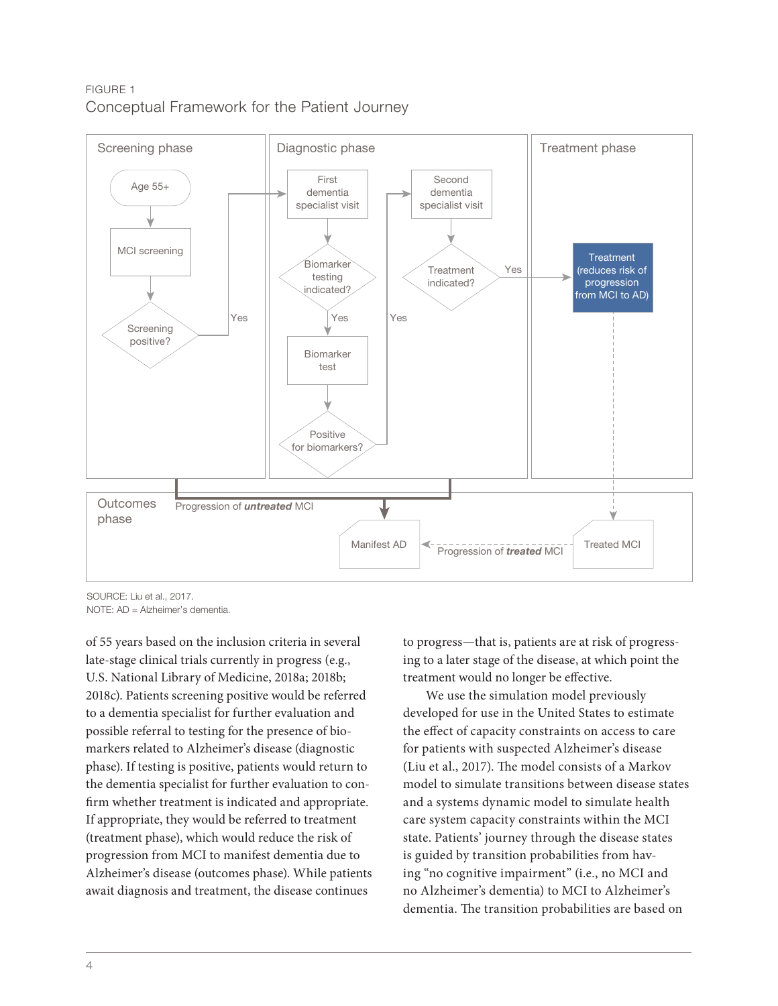## FIGURE 1 Conceptual Framework for the Patient Journey



SOURCE: Liu et al., 2017.

NOTE: AD = Alzheimer's dementia.

of 55 years based on the inclusion criteria in several late-stage clinical trials currently in progress (e.g., U.S. National Library of Medicine, 2018a; 2018b; 2018c). Patients screening positive would be referred to a dementia specialist for further evaluation and possible referral to testing for the presence of biomarkers related to Alzheimer's disease (diagnostic phase). If testing is positive, patients would return to the dementia specialist for further evaluation to confirm whether treatment is indicated and appropriate. If appropriate, they would be referred to treatment (treatment phase), which would reduce the risk of progression from MCI to manifest dementia due to Alzheimer's disease (outcomes phase). While patients await diagnosis and treatment, the disease continues

to progress—that is, patients are at risk of progressing to a later stage of the disease, at which point the treatment would no longer be effective.

We use the simulation model previously developed for use in the United States to estimate the effect of capacity constraints on access to care for patients with suspected Alzheimer's disease (Liu et al., 2017). The model consists of a Markov model to simulate transitions between disease states and a systems dynamic model to simulate health care system capacity constraints within the MCI state. Patients' journey through the disease states is guided by transition probabilities from having "no cognitive impairment" (i.e., no MCI and no Alzheimer's dementia) to MCI to Alzheimer's dementia. The transition probabilities are based on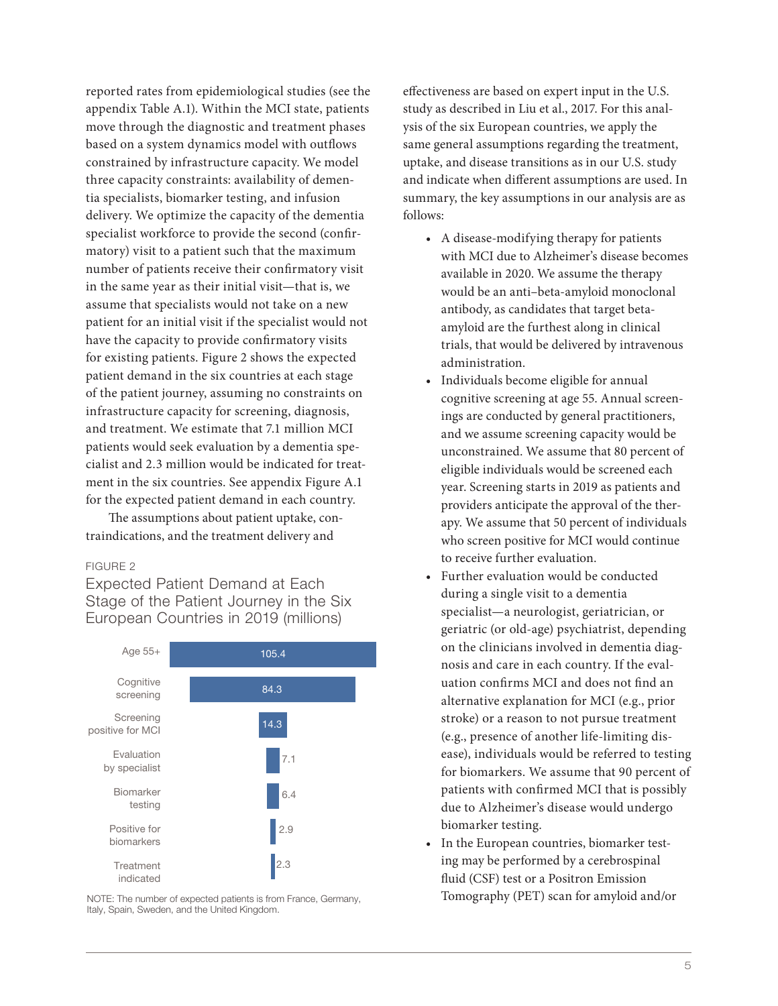reported rates from epidemiological studies (see the appendix Table A.1). Within the MCI state, patients move through the diagnostic and treatment phases based on a system dynamics model with outflows constrained by infrastructure capacity. We model three capacity constraints: availability of dementia specialists, biomarker testing, and infusion delivery. We optimize the capacity of the dementia specialist workforce to provide the second (confirmatory) visit to a patient such that the maximum number of patients receive their confirmatory visit in the same year as their initial visit—that is, we assume that specialists would not take on a new patient for an initial visit if the specialist would not have the capacity to provide confirmatory visits for existing patients. Figure 2 shows the expected patient demand in the six countries at each stage of the patient journey, assuming no constraints on infrastructure capacity for screening, diagnosis, and treatment. We estimate that 7.1 million MCI patients would seek evaluation by a dementia specialist and 2.3 million would be indicated for treatment in the six countries. See appendix Figure A.1 for the expected patient demand in each country.

The assumptions about patient uptake, contraindications, and the treatment delivery and

#### FIGURE 2

Expected Patient Demand at Each Stage of the Patient Journey in the Six European Countries in 2019 (millions)



NOTE: The number of expected patients is from France, Germany, Italy, Spain, Sweden, and the United Kingdom.

effectiveness are based on expert input in the U.S. study as described in Liu et al., 2017. For this analysis of the six European countries, we apply the same general assumptions regarding the treatment, uptake, and disease transitions as in our U.S. study and indicate when different assumptions are used. In summary, the key assumptions in our analysis are as follows:

- A disease-modifying therapy for patients with MCI due to Alzheimer's disease becomes available in 2020. We assume the therapy would be an anti–beta-amyloid monoclonal antibody, as candidates that target betaamyloid are the furthest along in clinical trials, that would be delivered by intravenous administration.
- Individuals become eligible for annual cognitive screening at age 55. Annual screenings are conducted by general practitioners, and we assume screening capacity would be unconstrained. We assume that 80 percent of eligible individuals would be screened each year. Screening starts in 2019 as patients and providers anticipate the approval of the therapy. We assume that 50 percent of individuals who screen positive for MCI would continue to receive further evaluation.
- Further evaluation would be conducted during a single visit to a dementia specialist—a neurologist, geriatrician, or geriatric (or old-age) psychiatrist, depending on the clinicians involved in dementia diagnosis and care in each country. If the evaluation confirms MCI and does not find an alternative explanation for MCI (e.g., prior stroke) or a reason to not pursue treatment (e.g., presence of another life-limiting disease), individuals would be referred to testing for biomarkers. We assume that 90 percent of patients with confirmed MCI that is possibly due to Alzheimer's disease would undergo biomarker testing.
- In the European countries, biomarker testing may be performed by a cerebrospinal fluid (CSF) test or a Positron Emission Tomography (PET) scan for amyloid and/or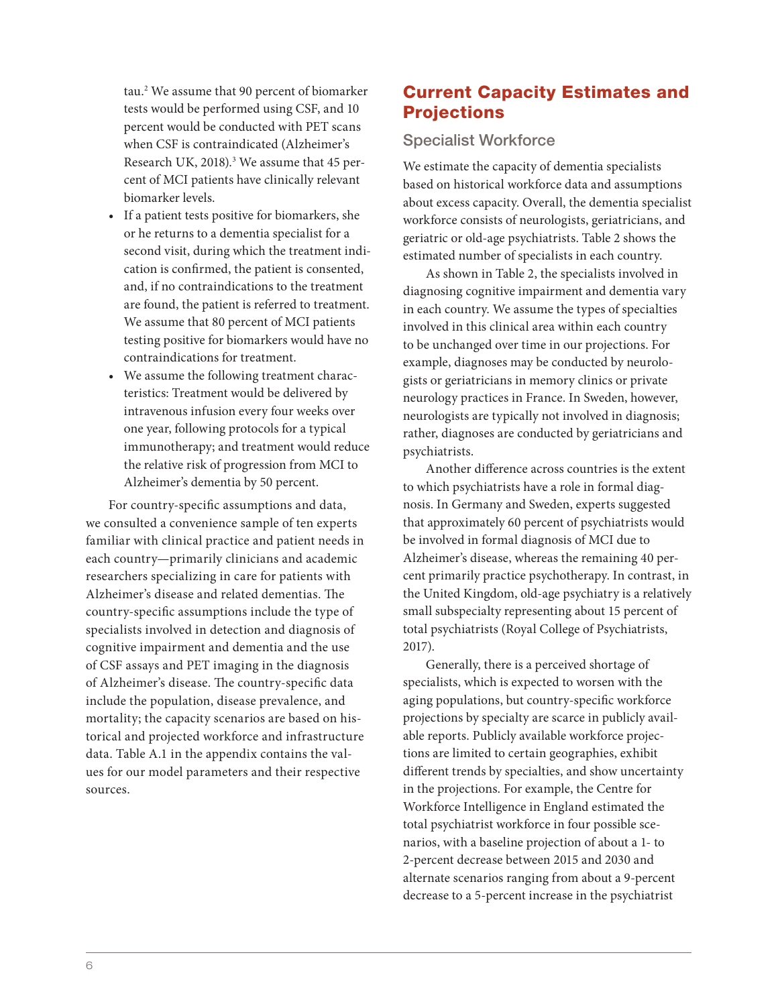tau.2 We assume that 90 percent of biomarker tests would be performed using CSF, and 10 percent would be conducted with PET scans when CSF is contraindicated (Alzheimer's Research UK, 2018).<sup>3</sup> We assume that 45 percent of MCI patients have clinically relevant biomarker levels.

- If a patient tests positive for biomarkers, she or he returns to a dementia specialist for a second visit, during which the treatment indication is confirmed, the patient is consented, and, if no contraindications to the treatment are found, the patient is referred to treatment. We assume that 80 percent of MCI patients testing positive for biomarkers would have no contraindications for treatment.
- We assume the following treatment characteristics: Treatment would be delivered by intravenous infusion every four weeks over one year, following protocols for a typical immunotherapy; and treatment would reduce the relative risk of progression from MCI to Alzheimer's dementia by 50 percent.

For country-specific assumptions and data, we consulted a convenience sample of ten experts familiar with clinical practice and patient needs in each country—primarily clinicians and academic researchers specializing in care for patients with Alzheimer's disease and related dementias. The country-specific assumptions include the type of specialists involved in detection and diagnosis of cognitive impairment and dementia and the use of CSF assays and PET imaging in the diagnosis of Alzheimer's disease. The country-specific data include the population, disease prevalence, and mortality; the capacity scenarios are based on historical and projected workforce and infrastructure data. Table A.1 in the appendix contains the values for our model parameters and their respective sources.

## Current Capacity Estimates and **Projections**

## Specialist Workforce

We estimate the capacity of dementia specialists based on historical workforce data and assumptions about excess capacity. Overall, the dementia specialist workforce consists of neurologists, geriatricians, and geriatric or old-age psychiatrists. Table 2 shows the estimated number of specialists in each country.

As shown in Table 2, the specialists involved in diagnosing cognitive impairment and dementia vary in each country. We assume the types of specialties involved in this clinical area within each country to be unchanged over time in our projections. For example, diagnoses may be conducted by neurologists or geriatricians in memory clinics or private neurology practices in France. In Sweden, however, neurologists are typically not involved in diagnosis; rather, diagnoses are conducted by geriatricians and psychiatrists.

Another difference across countries is the extent to which psychiatrists have a role in formal diagnosis. In Germany and Sweden, experts suggested that approximately 60 percent of psychiatrists would be involved in formal diagnosis of MCI due to Alzheimer's disease, whereas the remaining 40 percent primarily practice psychotherapy. In contrast, in the United Kingdom, old-age psychiatry is a relatively small subspecialty representing about 15 percent of total psychiatrists (Royal College of Psychiatrists, 2017).

Generally, there is a perceived shortage of specialists, which is expected to worsen with the aging populations, but country-specific workforce projections by specialty are scarce in publicly available reports. Publicly available workforce projections are limited to certain geographies, exhibit different trends by specialties, and show uncertainty in the projections. For example, the Centre for Workforce Intelligence in England estimated the total psychiatrist workforce in four possible scenarios, with a baseline projection of about a 1- to 2-percent decrease between 2015 and 2030 and alternate scenarios ranging from about a 9-percent decrease to a 5-percent increase in the psychiatrist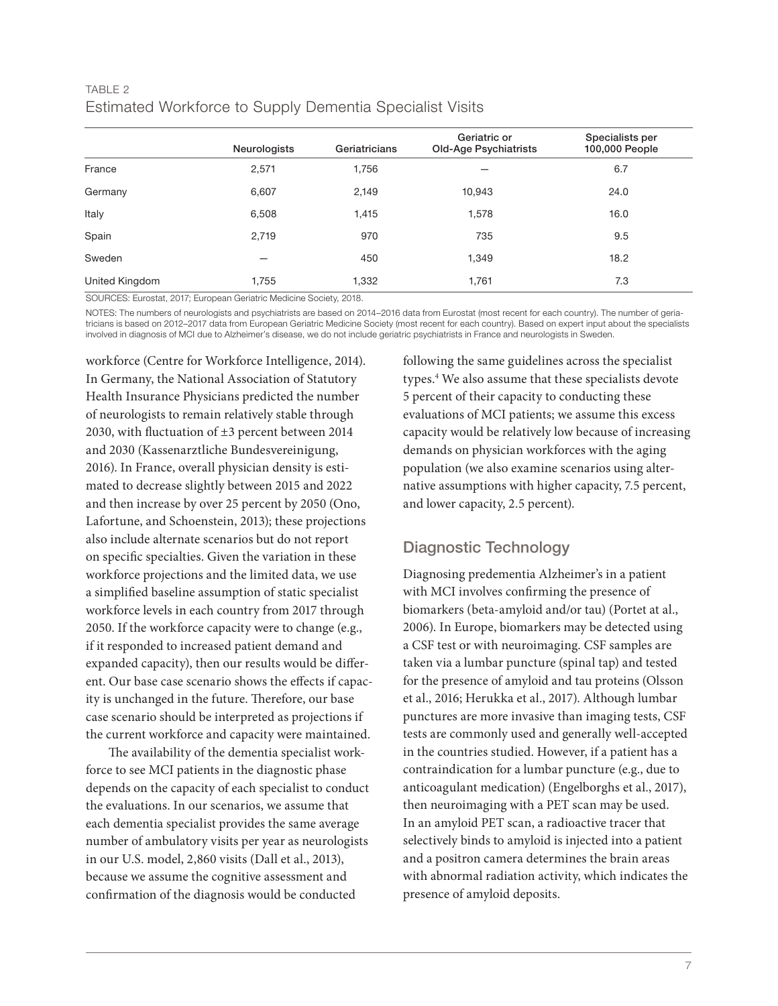## TABLE 2 Estimated Workforce to Supply Dementia Specialist Visits

|                | Neurologists | Geriatricians | Geriatric or<br>Old-Age Psychiatrists | Specialists per<br>100,000 People |
|----------------|--------------|---------------|---------------------------------------|-----------------------------------|
| France         | 2,571        | 1,756         |                                       | 6.7                               |
| Germany        | 6,607        | 2,149         | 10,943                                | 24.0                              |
| Italy          | 6,508        | 1,415         | 1,578                                 | 16.0                              |
| Spain          | 2,719        | 970           | 735                                   | 9.5                               |
| Sweden         |              | 450           | 1,349                                 | 18.2                              |
| United Kingdom | 1,755        | 1,332         | 1,761                                 | 7.3                               |

SOURCES: Eurostat, 2017; European Geriatric Medicine Society, 2018.

NOTES: The numbers of neurologists and psychiatrists are based on 2014–2016 data from Eurostat (most recent for each country). The number of geriatricians is based on 2012–2017 data from European Geriatric Medicine Society (most recent for each country). Based on expert input about the specialists involved in diagnosis of MCI due to Alzheimer's disease, we do not include geriatric psychiatrists in France and neurologists in Sweden.

workforce (Centre for Workforce Intelligence, 2014). In Germany, the National Association of Statutory Health Insurance Physicians predicted the number of neurologists to remain relatively stable through 2030, with fluctuation of ±3 percent between 2014 and 2030 (Kassenarztliche Bundesvereinigung, 2016). In France, overall physician density is estimated to decrease slightly between 2015 and 2022 and then increase by over 25 percent by 2050 (Ono, Lafortune, and Schoenstein, 2013); these projections also include alternate scenarios but do not report on specific specialties. Given the variation in these workforce projections and the limited data, we use a simplified baseline assumption of static specialist workforce levels in each country from 2017 through 2050. If the workforce capacity were to change (e.g., if it responded to increased patient demand and expanded capacity), then our results would be different. Our base case scenario shows the effects if capacity is unchanged in the future. Therefore, our base case scenario should be interpreted as projections if the current workforce and capacity were maintained.

The availability of the dementia specialist workforce to see MCI patients in the diagnostic phase depends on the capacity of each specialist to conduct the evaluations. In our scenarios, we assume that each dementia specialist provides the same average number of ambulatory visits per year as neurologists in our U.S. model, 2,860 visits (Dall et al., 2013), because we assume the cognitive assessment and confirmation of the diagnosis would be conducted

following the same guidelines across the specialist types.4 We also assume that these specialists devote 5 percent of their capacity to conducting these evaluations of MCI patients; we assume this excess capacity would be relatively low because of increasing demands on physician workforces with the aging population (we also examine scenarios using alternative assumptions with higher capacity, 7.5 percent, and lower capacity, 2.5 percent).

## Diagnostic Technology

Diagnosing predementia Alzheimer's in a patient with MCI involves confirming the presence of biomarkers (beta-amyloid and/or tau) (Portet at al., 2006). In Europe, biomarkers may be detected using a CSF test or with neuroimaging. CSF samples are taken via a lumbar puncture (spinal tap) and tested for the presence of amyloid and tau proteins (Olsson et al., 2016; Herukka et al., 2017). Although lumbar punctures are more invasive than imaging tests, CSF tests are commonly used and generally well-accepted in the countries studied. However, if a patient has a contraindication for a lumbar puncture (e.g., due to anticoagulant medication) (Engelborghs et al., 2017), then neuroimaging with a PET scan may be used. In an amyloid PET scan, a radioactive tracer that selectively binds to amyloid is injected into a patient and a positron camera determines the brain areas with abnormal radiation activity, which indicates the presence of amyloid deposits.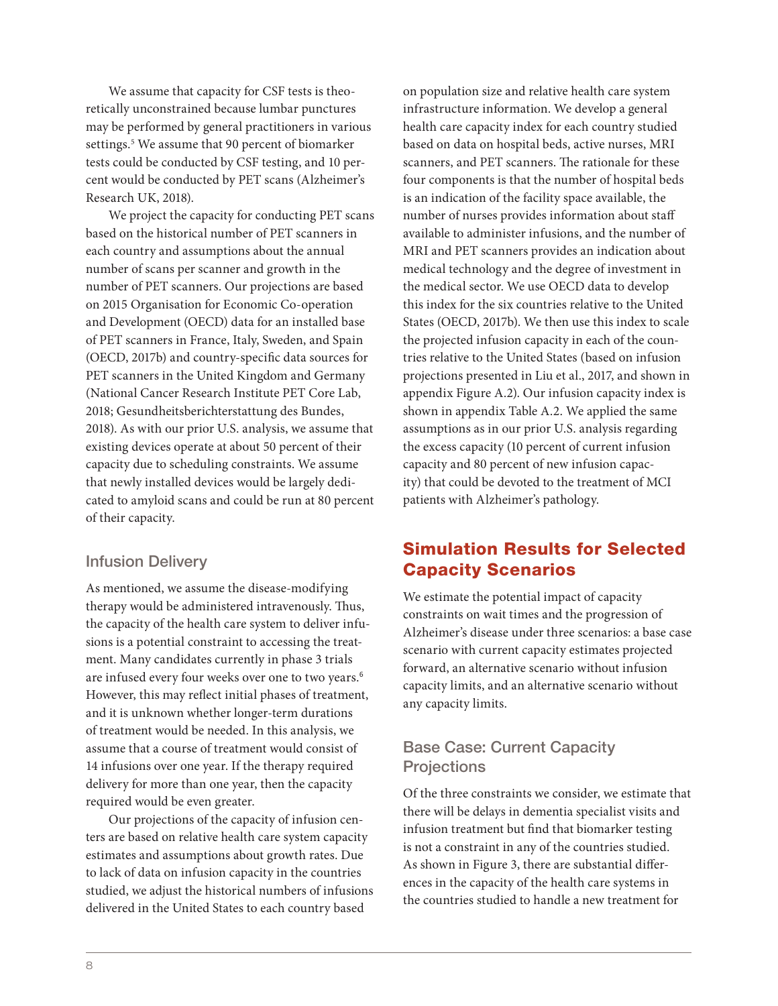We assume that capacity for CSF tests is theoretically unconstrained because lumbar punctures may be performed by general practitioners in various settings.<sup>5</sup> We assume that 90 percent of biomarker tests could be conducted by CSF testing, and 10 percent would be conducted by PET scans (Alzheimer's Research UK, 2018).

We project the capacity for conducting PET scans based on the historical number of PET scanners in each country and assumptions about the annual number of scans per scanner and growth in the number of PET scanners. Our projections are based on 2015 Organisation for Economic Co-operation and Development (OECD) data for an installed base of PET scanners in France, Italy, Sweden, and Spain (OECD, 2017b) and country-specific data sources for PET scanners in the United Kingdom and Germany (National Cancer Research Institute PET Core Lab, 2018; Gesundheitsberichterstattung des Bundes, 2018). As with our prior U.S. analysis, we assume that existing devices operate at about 50 percent of their capacity due to scheduling constraints. We assume that newly installed devices would be largely dedicated to amyloid scans and could be run at 80 percent of their capacity.

## Infusion Delivery

As mentioned, we assume the disease-modifying therapy would be administered intravenously. Thus, the capacity of the health care system to deliver infusions is a potential constraint to accessing the treatment. Many candidates currently in phase 3 trials are infused every four weeks over one to two years.<sup>6</sup> However, this may reflect initial phases of treatment, and it is unknown whether longer-term durations of treatment would be needed. In this analysis, we assume that a course of treatment would consist of 14 infusions over one year. If the therapy required delivery for more than one year, then the capacity required would be even greater.

Our projections of the capacity of infusion centers are based on relative health care system capacity estimates and assumptions about growth rates. Due to lack of data on infusion capacity in the countries studied, we adjust the historical numbers of infusions delivered in the United States to each country based

on population size and relative health care system infrastructure information. We develop a general health care capacity index for each country studied based on data on hospital beds, active nurses, MRI scanners, and PET scanners. The rationale for these four components is that the number of hospital beds is an indication of the facility space available, the number of nurses provides information about staff available to administer infusions, and the number of MRI and PET scanners provides an indication about medical technology and the degree of investment in the medical sector. We use OECD data to develop this index for the six countries relative to the United States (OECD, 2017b). We then use this index to scale the projected infusion capacity in each of the countries relative to the United States (based on infusion projections presented in Liu et al., 2017, and shown in appendix Figure A.2). Our infusion capacity index is shown in appendix Table A.2. We applied the same assumptions as in our prior U.S. analysis regarding the excess capacity (10 percent of current infusion capacity and 80 percent of new infusion capacity) that could be devoted to the treatment of MCI patients with Alzheimer's pathology.

## Simulation Results for Selected Capacity Scenarios

We estimate the potential impact of capacity constraints on wait times and the progression of Alzheimer's disease under three scenarios: a base case scenario with current capacity estimates projected forward, an alternative scenario without infusion capacity limits, and an alternative scenario without any capacity limits.

## Base Case: Current Capacity **Projections**

Of the three constraints we consider, we estimate that there will be delays in dementia specialist visits and infusion treatment but find that biomarker testing is not a constraint in any of the countries studied. As shown in Figure 3, there are substantial differences in the capacity of the health care systems in the countries studied to handle a new treatment for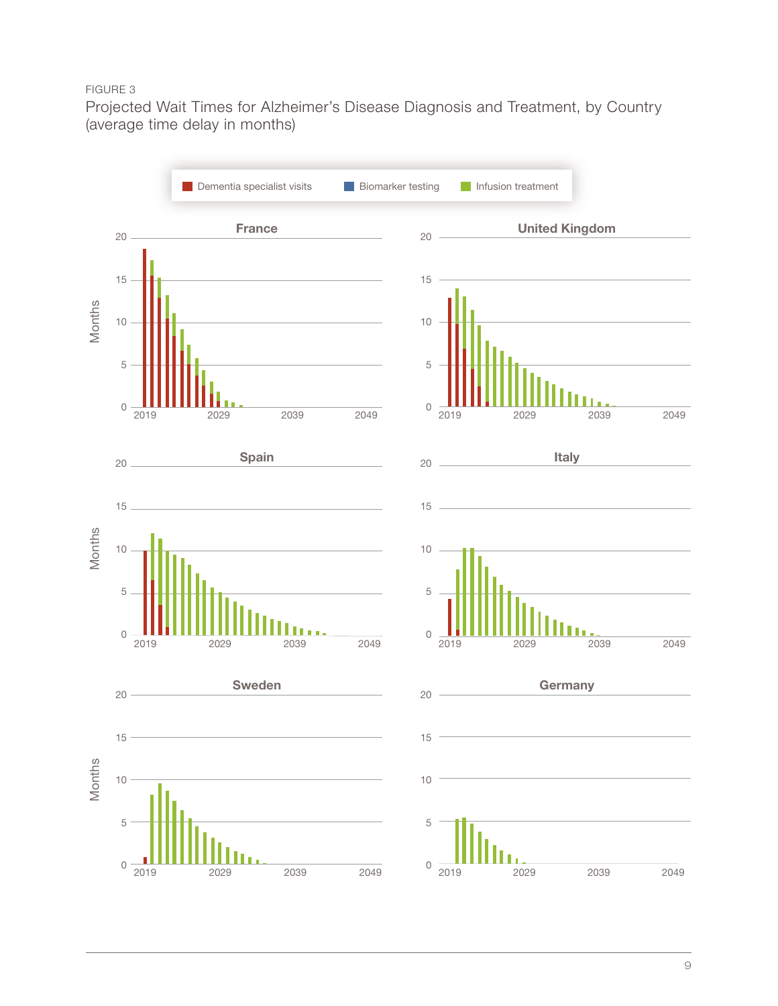## FIGURE 3

Projected Wait Times for Alzheimer's Disease Diagnosis and Treatment, by Country (average time delay in months)

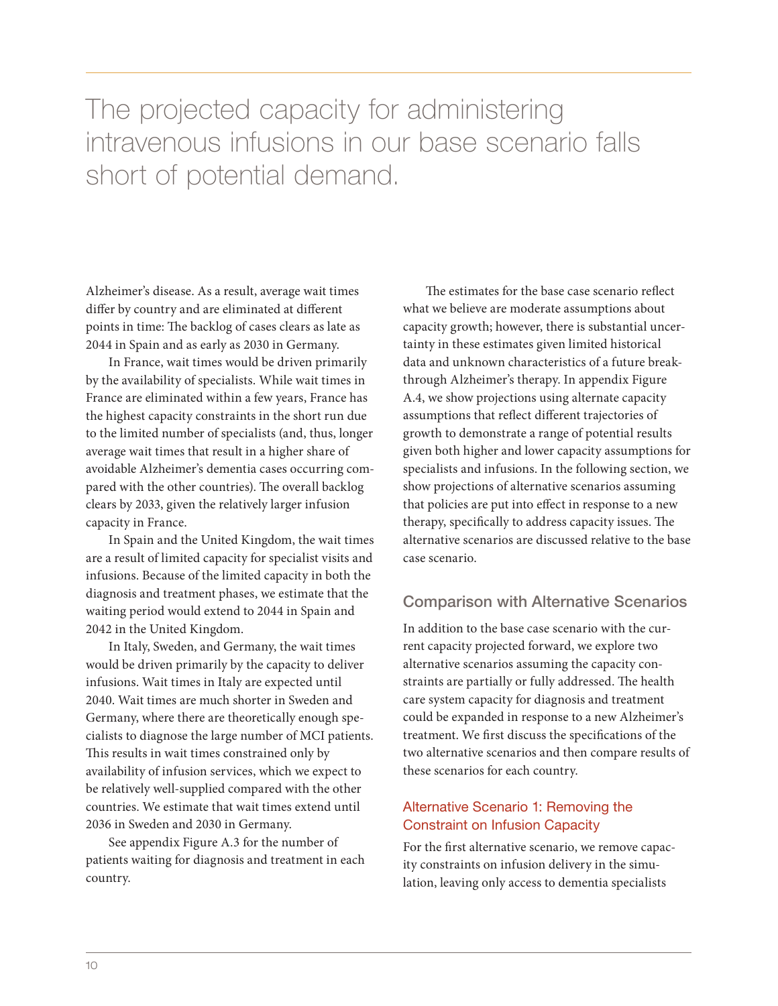## The projected capacity for administering intravenous infusions in our base scenario falls short of potential demand.

Alzheimer's disease. As a result, average wait times differ by country and are eliminated at different points in time: The backlog of cases clears as late as 2044 in Spain and as early as 2030 in Germany.

In France, wait times would be driven primarily by the availability of specialists. While wait times in France are eliminated within a few years, France has the highest capacity constraints in the short run due to the limited number of specialists (and, thus, longer average wait times that result in a higher share of avoidable Alzheimer's dementia cases occurring compared with the other countries). The overall backlog clears by 2033, given the relatively larger infusion capacity in France.

In Spain and the United Kingdom, the wait times are a result of limited capacity for specialist visits and infusions. Because of the limited capacity in both the diagnosis and treatment phases, we estimate that the waiting period would extend to 2044 in Spain and 2042 in the United Kingdom.

In Italy, Sweden, and Germany, the wait times would be driven primarily by the capacity to deliver infusions. Wait times in Italy are expected until 2040. Wait times are much shorter in Sweden and Germany, where there are theoretically enough specialists to diagnose the large number of MCI patients. This results in wait times constrained only by availability of infusion services, which we expect to be relatively well-supplied compared with the other countries. We estimate that wait times extend until 2036 in Sweden and 2030 in Germany.

See appendix Figure A.3 for the number of patients waiting for diagnosis and treatment in each country.

The estimates for the base case scenario reflect what we believe are moderate assumptions about capacity growth; however, there is substantial uncertainty in these estimates given limited historical data and unknown characteristics of a future breakthrough Alzheimer's therapy. In appendix Figure A.4, we show projections using alternate capacity assumptions that reflect different trajectories of growth to demonstrate a range of potential results given both higher and lower capacity assumptions for specialists and infusions. In the following section, we show projections of alternative scenarios assuming that policies are put into effect in response to a new therapy, specifically to address capacity issues. The alternative scenarios are discussed relative to the base case scenario.

## Comparison with Alternative Scenarios

In addition to the base case scenario with the current capacity projected forward, we explore two alternative scenarios assuming the capacity constraints are partially or fully addressed. The health care system capacity for diagnosis and treatment could be expanded in response to a new Alzheimer's treatment. We first discuss the specifications of the two alternative scenarios and then compare results of these scenarios for each country.

## Alternative Scenario 1: Removing the Constraint on Infusion Capacity

For the first alternative scenario, we remove capacity constraints on infusion delivery in the simulation, leaving only access to dementia specialists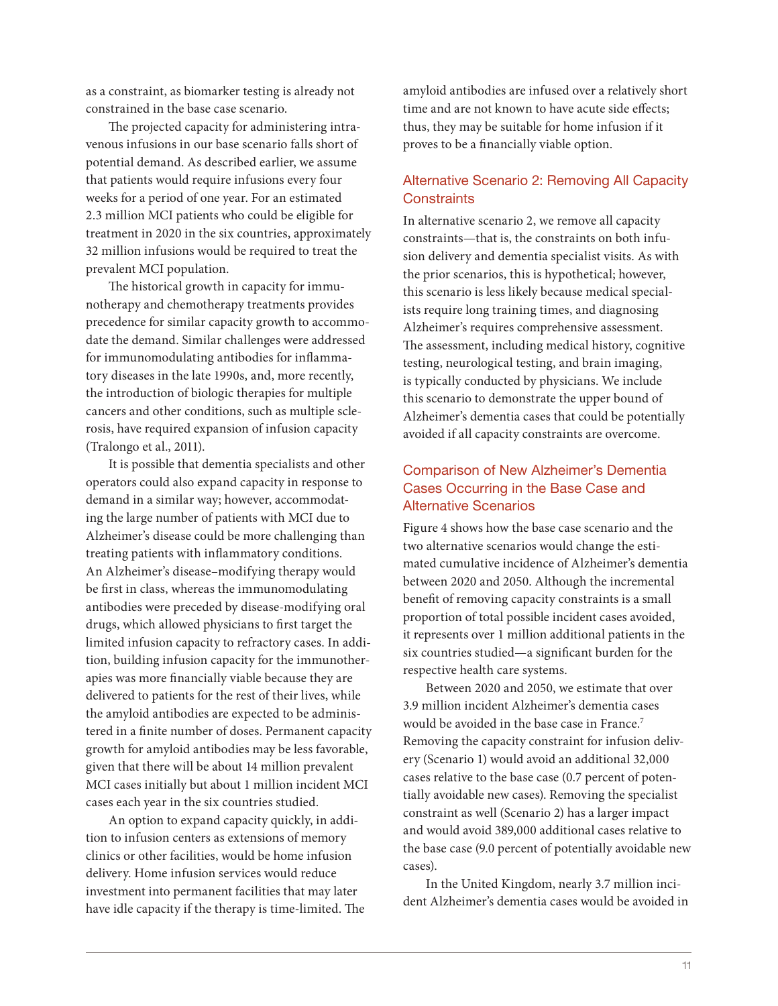as a constraint, as biomarker testing is already not constrained in the base case scenario.

The projected capacity for administering intravenous infusions in our base scenario falls short of potential demand. As described earlier, we assume that patients would require infusions every four weeks for a period of one year. For an estimated 2.3 million MCI patients who could be eligible for treatment in 2020 in the six countries, approximately 32 million infusions would be required to treat the prevalent MCI population.

The historical growth in capacity for immunotherapy and chemotherapy treatments provides precedence for similar capacity growth to accommodate the demand. Similar challenges were addressed for immunomodulating antibodies for inflammatory diseases in the late 1990s, and, more recently, the introduction of biologic therapies for multiple cancers and other conditions, such as multiple sclerosis, have required expansion of infusion capacity (Tralongo et al., 2011).

It is possible that dementia specialists and other operators could also expand capacity in response to demand in a similar way; however, accommodating the large number of patients with MCI due to Alzheimer's disease could be more challenging than treating patients with inflammatory conditions. An Alzheimer's disease–modifying therapy would be first in class, whereas the immunomodulating antibodies were preceded by disease-modifying oral drugs, which allowed physicians to first target the limited infusion capacity to refractory cases. In addition, building infusion capacity for the immunotherapies was more financially viable because they are delivered to patients for the rest of their lives, while the amyloid antibodies are expected to be administered in a finite number of doses. Permanent capacity growth for amyloid antibodies may be less favorable, given that there will be about 14 million prevalent MCI cases initially but about 1 million incident MCI cases each year in the six countries studied.

An option to expand capacity quickly, in addition to infusion centers as extensions of memory clinics or other facilities, would be home infusion delivery. Home infusion services would reduce investment into permanent facilities that may later have idle capacity if the therapy is time-limited. The amyloid antibodies are infused over a relatively short time and are not known to have acute side effects; thus, they may be suitable for home infusion if it proves to be a financially viable option.

## Alternative Scenario 2: Removing All Capacity **Constraints**

In alternative scenario 2, we remove all capacity constraints—that is, the constraints on both infusion delivery and dementia specialist visits. As with the prior scenarios, this is hypothetical; however, this scenario is less likely because medical specialists require long training times, and diagnosing Alzheimer's requires comprehensive assessment. The assessment, including medical history, cognitive testing, neurological testing, and brain imaging, is typically conducted by physicians. We include this scenario to demonstrate the upper bound of Alzheimer's dementia cases that could be potentially avoided if all capacity constraints are overcome.

## Comparison of New Alzheimer's Dementia Cases Occurring in the Base Case and Alternative Scenarios

Figure 4 shows how the base case scenario and the two alternative scenarios would change the estimated cumulative incidence of Alzheimer's dementia between 2020 and 2050. Although the incremental benefit of removing capacity constraints is a small proportion of total possible incident cases avoided, it represents over 1 million additional patients in the six countries studied—a significant burden for the respective health care systems.

Between 2020 and 2050, we estimate that over 3.9 million incident Alzheimer's dementia cases would be avoided in the base case in France.7 Removing the capacity constraint for infusion delivery (Scenario 1) would avoid an additional 32,000 cases relative to the base case (0.7 percent of potentially avoidable new cases). Removing the specialist constraint as well (Scenario 2) has a larger impact and would avoid 389,000 additional cases relative to the base case (9.0 percent of potentially avoidable new cases).

In the United Kingdom, nearly 3.7 million incident Alzheimer's dementia cases would be avoided in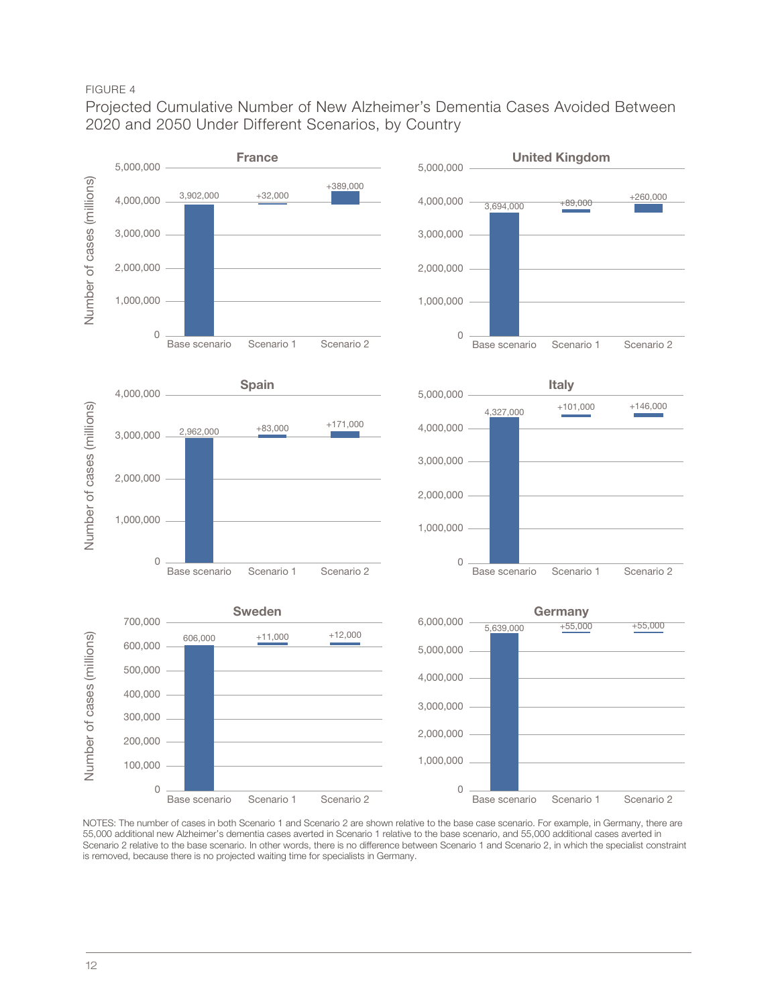## FIGURE 4

Projected Cumulative Number of New Alzheimer's Dementia Cases Avoided Between 2020 and 2050 Under Different Scenarios, by Country



NOTES: The number of cases in both Scenario 1 and Scenario 2 are shown relative to the base case scenario. For example, in Germany, there are 55,000 additional new Alzheimer's dementia cases averted in Scenario 1 relative to the base scenario, and 55,000 additional cases averted in Scenario 2 relative to the base scenario. In other words, there is no difference between Scenario 1 and Scenario 2, in which the specialist constraint is removed, because there is no projected waiting time for specialists in Germany.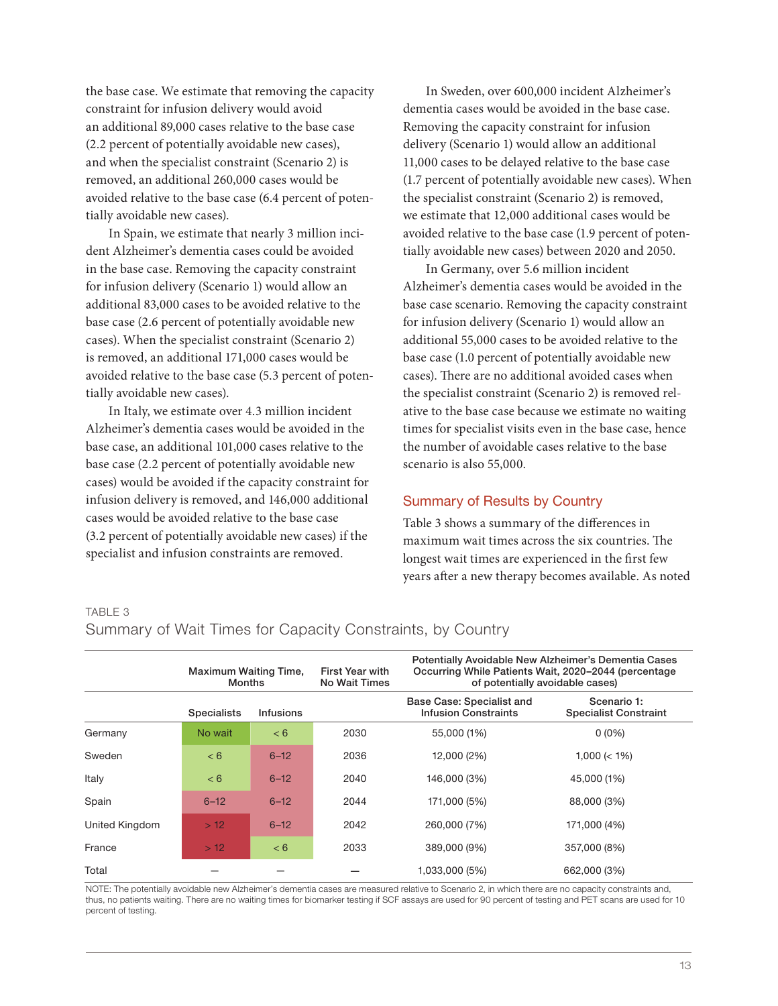the base case. We estimate that removing the capacity constraint for infusion delivery would avoid an additional 89,000 cases relative to the base case (2.2 percent of potentially avoidable new cases), and when the specialist constraint (Scenario 2) is removed, an additional 260,000 cases would be avoided relative to the base case (6.4 percent of potentially avoidable new cases).

In Spain, we estimate that nearly 3 million incident Alzheimer's dementia cases could be avoided in the base case. Removing the capacity constraint for infusion delivery (Scenario 1) would allow an additional 83,000 cases to be avoided relative to the base case (2.6 percent of potentially avoidable new cases). When the specialist constraint (Scenario 2) is removed, an additional 171,000 cases would be avoided relative to the base case (5.3 percent of potentially avoidable new cases).

In Italy, we estimate over 4.3 million incident Alzheimer's dementia cases would be avoided in the base case, an additional 101,000 cases relative to the base case (2.2 percent of potentially avoidable new cases) would be avoided if the capacity constraint for infusion delivery is removed, and 146,000 additional cases would be avoided relative to the base case (3.2 percent of potentially avoidable new cases) if the specialist and infusion constraints are removed.

In Sweden, over 600,000 incident Alzheimer's dementia cases would be avoided in the base case. Removing the capacity constraint for infusion delivery (Scenario 1) would allow an additional 11,000 cases to be delayed relative to the base case (1.7 percent of potentially avoidable new cases). When the specialist constraint (Scenario 2) is removed, we estimate that 12,000 additional cases would be avoided relative to the base case (1.9 percent of potentially avoidable new cases) between 2020 and 2050.

In Germany, over 5.6 million incident Alzheimer's dementia cases would be avoided in the base case scenario. Removing the capacity constraint for infusion delivery (Scenario 1) would allow an additional 55,000 cases to be avoided relative to the base case (1.0 percent of potentially avoidable new cases). There are no additional avoided cases when the specialist constraint (Scenario 2) is removed relative to the base case because we estimate no waiting times for specialist visits even in the base case, hence the number of avoidable cases relative to the base scenario is also 55,000.

#### Summary of Results by Country

Table 3 shows a summary of the differences in maximum wait times across the six countries. The longest wait times are experienced in the first few years after a new therapy becomes available. As noted

#### TABLE 3

#### Summary of Wait Times for Capacity Constraints, by Country

|                | <b>Maximum Waiting Time,</b><br><b>Months</b> |                  | <b>First Year with</b><br><b>No Wait Times</b> | Potentially Avoidable New Alzheimer's Dementia Cases<br>Occurring While Patients Wait, 2020-2044 (percentage<br>of potentially avoidable cases) |                                             |  |
|----------------|-----------------------------------------------|------------------|------------------------------------------------|-------------------------------------------------------------------------------------------------------------------------------------------------|---------------------------------------------|--|
|                | <b>Specialists</b>                            | <b>Infusions</b> |                                                | Base Case: Specialist and<br><b>Infusion Constraints</b>                                                                                        | Scenario 1:<br><b>Specialist Constraint</b> |  |
| Germany        | No wait                                       | < 6              | 2030                                           | 55,000 (1%)                                                                                                                                     | $0(0\%)$                                    |  |
| Sweden         | < 6                                           | $6 - 12$         | 2036                                           | 12,000 (2%)                                                                                                                                     | $1,000 \le 1\%$                             |  |
| Italy          | < 6                                           | $6 - 12$         | 2040                                           | 146,000 (3%)                                                                                                                                    | 45,000 (1%)                                 |  |
| Spain          | $6 - 12$                                      | $6 - 12$         | 2044                                           | 171,000 (5%)                                                                                                                                    | 88,000 (3%)                                 |  |
| United Kingdom | >12                                           | $6 - 12$         | 2042                                           | 260,000 (7%)                                                                                                                                    | 171,000 (4%)                                |  |
| France         | >12                                           | < 6              | 2033                                           | 389,000 (9%)                                                                                                                                    | 357,000 (8%)                                |  |
| Total          |                                               |                  |                                                | 1,033,000 (5%)                                                                                                                                  | 662,000 (3%)                                |  |

NOTE: The potentially avoidable new Alzheimer's dementia cases are measured relative to Scenario 2, in which there are no capacity constraints and, thus, no patients waiting. There are no waiting times for biomarker testing if SCF assays are used for 90 percent of testing and PET scans are used for 10 percent of testing.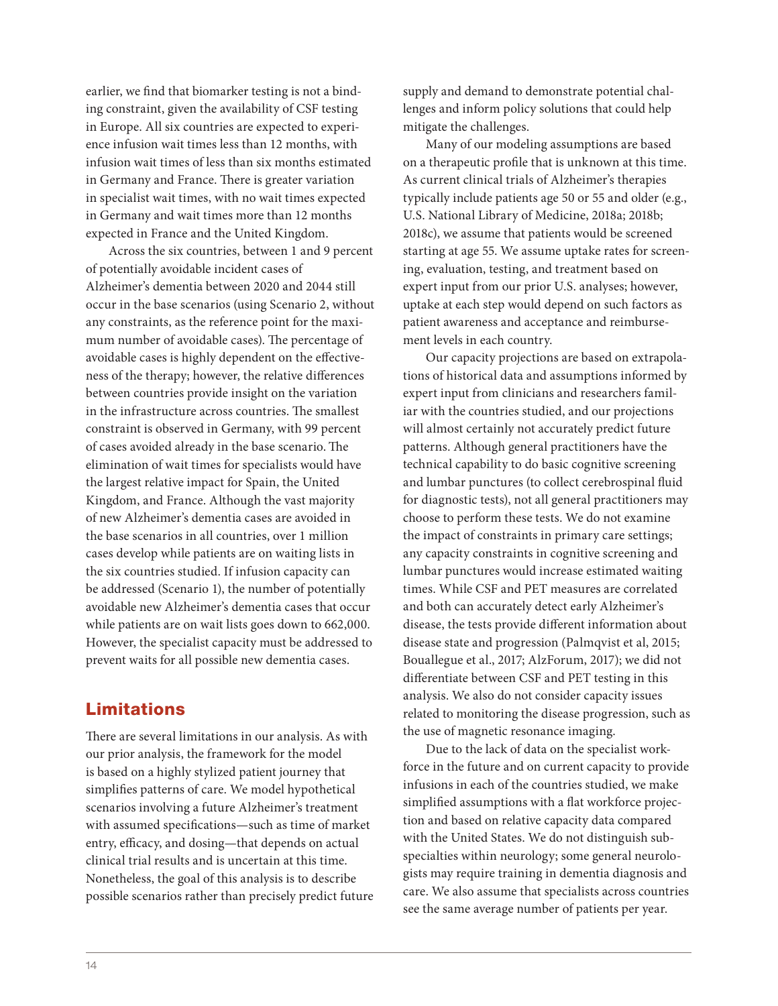earlier, we find that biomarker testing is not a binding constraint, given the availability of CSF testing in Europe. All six countries are expected to experience infusion wait times less than 12 months, with infusion wait times of less than six months estimated in Germany and France. There is greater variation in specialist wait times, with no wait times expected in Germany and wait times more than 12 months expected in France and the United Kingdom.

Across the six countries, between 1 and 9 percent of potentially avoidable incident cases of Alzheimer's dementia between 2020 and 2044 still occur in the base scenarios (using Scenario 2, without any constraints, as the reference point for the maximum number of avoidable cases). The percentage of avoidable cases is highly dependent on the effectiveness of the therapy; however, the relative differences between countries provide insight on the variation in the infrastructure across countries. The smallest constraint is observed in Germany, with 99 percent of cases avoided already in the base scenario.The elimination of wait times for specialists would have the largest relative impact for Spain, the United Kingdom, and France. Although the vast majority of new Alzheimer's dementia cases are avoided in the base scenarios in all countries, over 1 million cases develop while patients are on waiting lists in the six countries studied. If infusion capacity can be addressed (Scenario 1), the number of potentially avoidable new Alzheimer's dementia cases that occur while patients are on wait lists goes down to 662,000. However, the specialist capacity must be addressed to prevent waits for all possible new dementia cases.

## Limitations

There are several limitations in our analysis. As with our prior analysis, the framework for the model is based on a highly stylized patient journey that simplifies patterns of care. We model hypothetical scenarios involving a future Alzheimer's treatment with assumed specifications—such as time of market entry, efficacy, and dosing—that depends on actual clinical trial results and is uncertain at this time. Nonetheless, the goal of this analysis is to describe possible scenarios rather than precisely predict future

supply and demand to demonstrate potential challenges and inform policy solutions that could help mitigate the challenges.

Many of our modeling assumptions are based on a therapeutic profile that is unknown at this time. As current clinical trials of Alzheimer's therapies typically include patients age 50 or 55 and older (e.g., U.S. National Library of Medicine, 2018a; 2018b; 2018c), we assume that patients would be screened starting at age 55. We assume uptake rates for screening, evaluation, testing, and treatment based on expert input from our prior U.S. analyses; however, uptake at each step would depend on such factors as patient awareness and acceptance and reimbursement levels in each country.

Our capacity projections are based on extrapolations of historical data and assumptions informed by expert input from clinicians and researchers familiar with the countries studied, and our projections will almost certainly not accurately predict future patterns. Although general practitioners have the technical capability to do basic cognitive screening and lumbar punctures (to collect cerebrospinal fluid for diagnostic tests), not all general practitioners may choose to perform these tests. We do not examine the impact of constraints in primary care settings; any capacity constraints in cognitive screening and lumbar punctures would increase estimated waiting times. While CSF and PET measures are correlated and both can accurately detect early Alzheimer's disease, the tests provide different information about disease state and progression (Palmqvist et al, 2015; Bouallegue et al., 2017; AlzForum, 2017); we did not differentiate between CSF and PET testing in this analysis. We also do not consider capacity issues related to monitoring the disease progression, such as the use of magnetic resonance imaging.

Due to the lack of data on the specialist workforce in the future and on current capacity to provide infusions in each of the countries studied, we make simplified assumptions with a flat workforce projection and based on relative capacity data compared with the United States. We do not distinguish subspecialties within neurology; some general neurologists may require training in dementia diagnosis and care. We also assume that specialists across countries see the same average number of patients per year.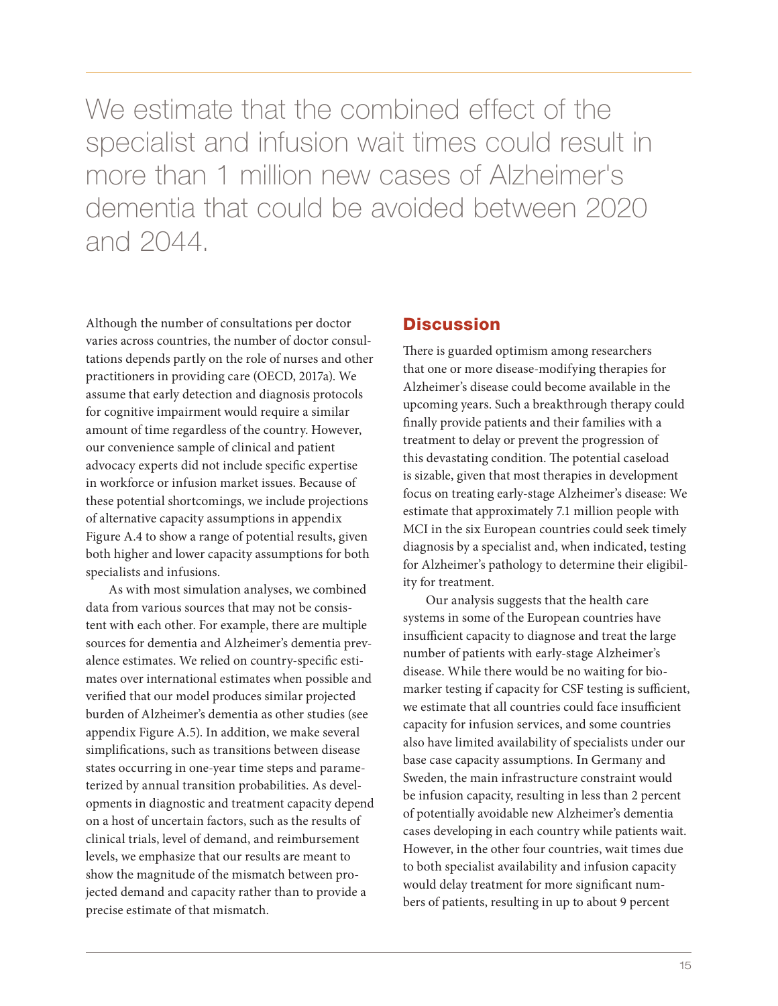We estimate that the combined effect of the specialist and infusion wait times could result in more than 1 million new cases of Alzheimer's dementia that could be avoided between 2020 and 2044.

Although the number of consultations per doctor varies across countries, the number of doctor consultations depends partly on the role of nurses and other practitioners in providing care (OECD, 2017a). We assume that early detection and diagnosis protocols for cognitive impairment would require a similar amount of time regardless of the country. However, our convenience sample of clinical and patient advocacy experts did not include specific expertise in workforce or infusion market issues. Because of these potential shortcomings, we include projections of alternative capacity assumptions in appendix Figure A.4 to show a range of potential results, given both higher and lower capacity assumptions for both specialists and infusions.

As with most simulation analyses, we combined data from various sources that may not be consistent with each other. For example, there are multiple sources for dementia and Alzheimer's dementia prevalence estimates. We relied on country-specific estimates over international estimates when possible and verified that our model produces similar projected burden of Alzheimer's dementia as other studies (see appendix Figure A.5). In addition, we make several simplifications, such as transitions between disease states occurring in one-year time steps and parameterized by annual transition probabilities. As developments in diagnostic and treatment capacity depend on a host of uncertain factors, such as the results of clinical trials, level of demand, and reimbursement levels, we emphasize that our results are meant to show the magnitude of the mismatch between projected demand and capacity rather than to provide a precise estimate of that mismatch.

## **Discussion**

There is guarded optimism among researchers that one or more disease-modifying therapies for Alzheimer's disease could become available in the upcoming years. Such a breakthrough therapy could finally provide patients and their families with a treatment to delay or prevent the progression of this devastating condition. The potential caseload is sizable, given that most therapies in development focus on treating early-stage Alzheimer's disease: We estimate that approximately 7.1 million people with MCI in the six European countries could seek timely diagnosis by a specialist and, when indicated, testing for Alzheimer's pathology to determine their eligibility for treatment.

Our analysis suggests that the health care systems in some of the European countries have insufficient capacity to diagnose and treat the large number of patients with early-stage Alzheimer's disease. While there would be no waiting for biomarker testing if capacity for CSF testing is sufficient, we estimate that all countries could face insufficient capacity for infusion services, and some countries also have limited availability of specialists under our base case capacity assumptions. In Germany and Sweden, the main infrastructure constraint would be infusion capacity, resulting in less than 2 percent of potentially avoidable new Alzheimer's dementia cases developing in each country while patients wait. However, in the other four countries, wait times due to both specialist availability and infusion capacity would delay treatment for more significant numbers of patients, resulting in up to about 9 percent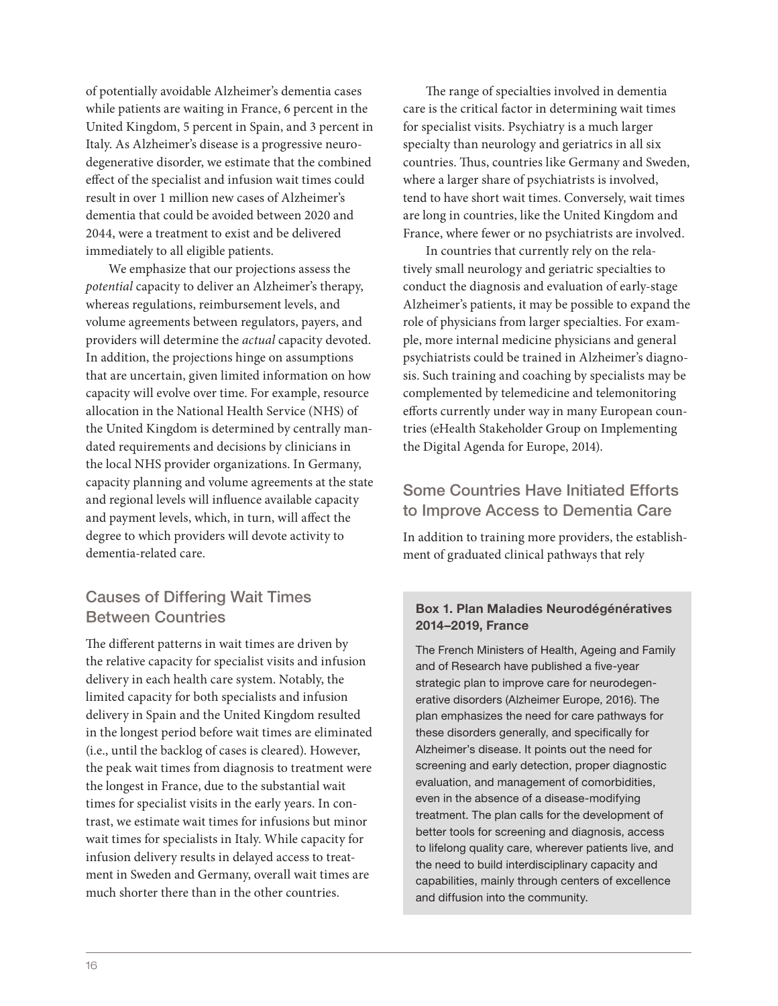of potentially avoidable Alzheimer's dementia cases while patients are waiting in France, 6 percent in the United Kingdom, 5 percent in Spain, and 3 percent in Italy. As Alzheimer's disease is a progressive neurodegenerative disorder, we estimate that the combined effect of the specialist and infusion wait times could result in over 1 million new cases of Alzheimer's dementia that could be avoided between 2020 and 2044, were a treatment to exist and be delivered immediately to all eligible patients.

We emphasize that our projections assess the *potential* capacity to deliver an Alzheimer's therapy, whereas regulations, reimbursement levels, and volume agreements between regulators, payers, and providers will determine the *actual* capacity devoted. In addition, the projections hinge on assumptions that are uncertain, given limited information on how capacity will evolve over time. For example, resource allocation in the National Health Service (NHS) of the United Kingdom is determined by centrally mandated requirements and decisions by clinicians in the local NHS provider organizations. In Germany, capacity planning and volume agreements at the state and regional levels will influence available capacity and payment levels, which, in turn, will affect the degree to which providers will devote activity to dementia-related care.

## Causes of Differing Wait Times Between Countries

The different patterns in wait times are driven by the relative capacity for specialist visits and infusion delivery in each health care system. Notably, the limited capacity for both specialists and infusion delivery in Spain and the United Kingdom resulted in the longest period before wait times are eliminated (i.e., until the backlog of cases is cleared). However, the peak wait times from diagnosis to treatment were the longest in France, due to the substantial wait times for specialist visits in the early years. In contrast, we estimate wait times for infusions but minor wait times for specialists in Italy. While capacity for infusion delivery results in delayed access to treatment in Sweden and Germany, overall wait times are much shorter there than in the other countries.

The range of specialties involved in dementia care is the critical factor in determining wait times for specialist visits. Psychiatry is a much larger specialty than neurology and geriatrics in all six countries. Thus, countries like Germany and Sweden, where a larger share of psychiatrists is involved, tend to have short wait times. Conversely, wait times are long in countries, like the United Kingdom and France, where fewer or no psychiatrists are involved.

In countries that currently rely on the relatively small neurology and geriatric specialties to conduct the diagnosis and evaluation of early-stage Alzheimer's patients, it may be possible to expand the role of physicians from larger specialties. For example, more internal medicine physicians and general psychiatrists could be trained in Alzheimer's diagnosis. Such training and coaching by specialists may be complemented by telemedicine and telemonitoring efforts currently under way in many European countries (eHealth Stakeholder Group on Implementing the Digital Agenda for Europe, 2014).

## Some Countries Have Initiated Efforts to Improve Access to Dementia Care

In addition to training more providers, the establishment of graduated clinical pathways that rely

## Box 1. Plan Maladies Neurodégénératives 2014–2019, France

The French Ministers of Health, Ageing and Family and of Research have published a five-year strategic plan to improve care for neurodegenerative disorders (Alzheimer Europe, 2016). The plan emphasizes the need for care pathways for these disorders generally, and specifically for Alzheimer's disease. It points out the need for screening and early detection, proper diagnostic evaluation, and management of comorbidities, even in the absence of a disease-modifying treatment. The plan calls for the development of better tools for screening and diagnosis, access to lifelong quality care, wherever patients live, and the need to build interdisciplinary capacity and capabilities, mainly through centers of excellence and diffusion into the community.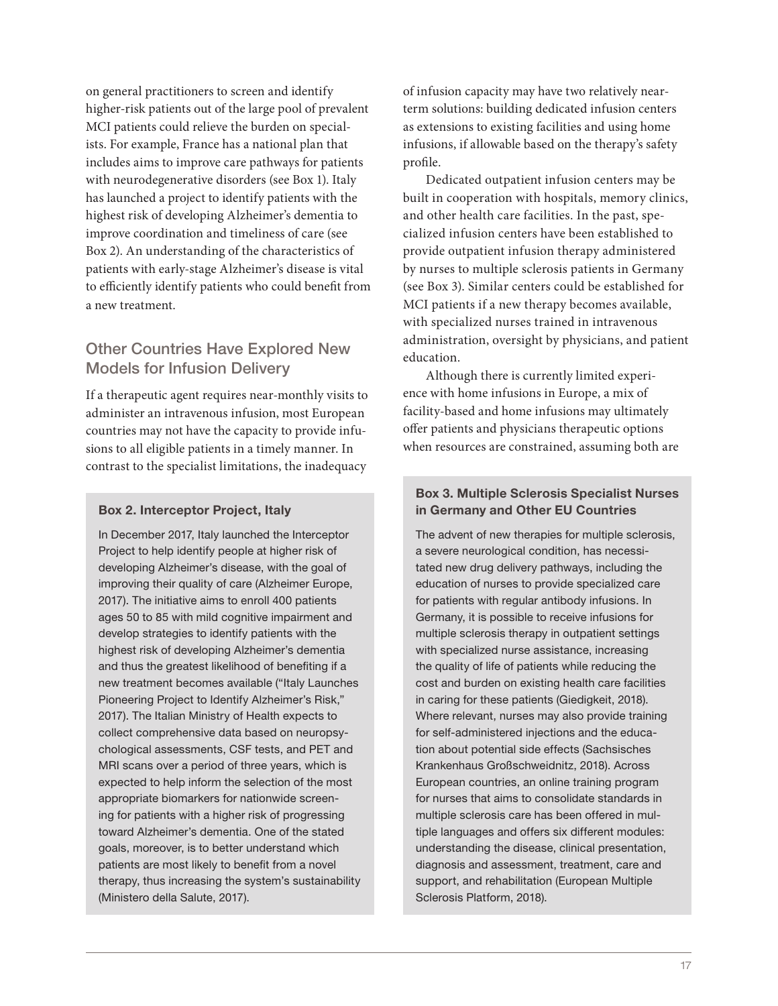on general practitioners to screen and identify higher-risk patients out of the large pool of prevalent MCI patients could relieve the burden on specialists. For example, France has a national plan that includes aims to improve care pathways for patients with neurodegenerative disorders (see Box 1). Italy has launched a project to identify patients with the highest risk of developing Alzheimer's dementia to improve coordination and timeliness of care (see Box 2). An understanding of the characteristics of patients with early-stage Alzheimer's disease is vital to efficiently identify patients who could benefit from a new treatment.

## Other Countries Have Explored New Models for Infusion Delivery

If a therapeutic agent requires near-monthly visits to administer an intravenous infusion, most European countries may not have the capacity to provide infusions to all eligible patients in a timely manner. In contrast to the specialist limitations, the inadequacy

## Box 2. Interceptor Project, Italy

In December 2017, Italy launched the Interceptor Project to help identify people at higher risk of developing Alzheimer's disease, with the goal of improving their quality of care (Alzheimer Europe, 2017). The initiative aims to enroll 400 patients ages 50 to 85 with mild cognitive impairment and develop strategies to identify patients with the highest risk of developing Alzheimer's dementia and thus the greatest likelihood of benefiting if a new treatment becomes available ("Italy Launches Pioneering Project to Identify Alzheimer's Risk," 2017). The Italian Ministry of Health expects to collect comprehensive data based on neuropsychological assessments, CSF tests, and PET and MRI scans over a period of three years, which is expected to help inform the selection of the most appropriate biomarkers for nationwide screening for patients with a higher risk of progressing toward Alzheimer's dementia. One of the stated goals, moreover, is to better understand which patients are most likely to benefit from a novel therapy, thus increasing the system's sustainability (Ministero della Salute, 2017).

of infusion capacity may have two relatively nearterm solutions: building dedicated infusion centers as extensions to existing facilities and using home infusions, if allowable based on the therapy's safety profile.

Dedicated outpatient infusion centers may be built in cooperation with hospitals, memory clinics, and other health care facilities. In the past, specialized infusion centers have been established to provide outpatient infusion therapy administered by nurses to multiple sclerosis patients in Germany (see Box 3). Similar centers could be established for MCI patients if a new therapy becomes available, with specialized nurses trained in intravenous administration, oversight by physicians, and patient education.

Although there is currently limited experience with home infusions in Europe, a mix of facility-based and home infusions may ultimately offer patients and physicians therapeutic options when resources are constrained, assuming both are

## Box 3. Multiple Sclerosis Specialist Nurses in Germany and Other EU Countries

The advent of new therapies for multiple sclerosis, a severe neurological condition, has necessitated new drug delivery pathways, including the education of nurses to provide specialized care for patients with regular antibody infusions. In Germany, it is possible to receive infusions for multiple sclerosis therapy in outpatient settings with specialized nurse assistance, increasing the quality of life of patients while reducing the cost and burden on existing health care facilities in caring for these patients (Giedigkeit, 2018). Where relevant, nurses may also provide training for self-administered injections and the education about potential side effects (Sachsisches Krankenhaus Großschweidnitz, 2018). Across European countries, an online training program for nurses that aims to consolidate standards in multiple sclerosis care has been offered in multiple languages and offers six different modules: understanding the disease, clinical presentation, diagnosis and assessment, treatment, care and support, and rehabilitation (European Multiple Sclerosis Platform, 2018).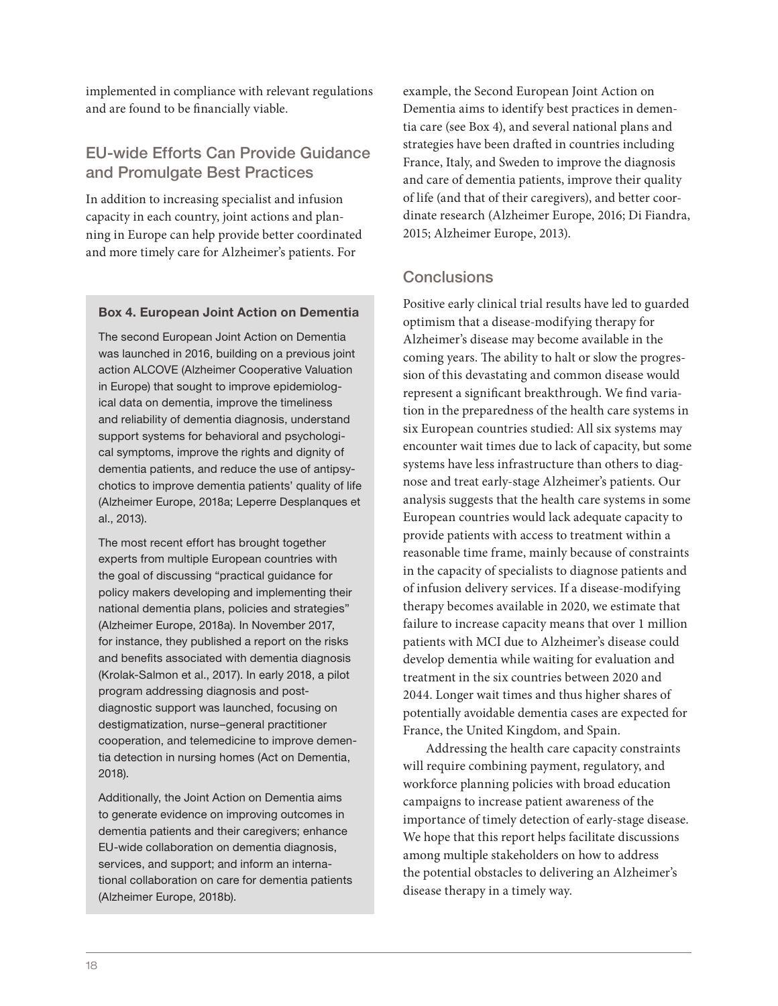implemented in compliance with relevant regulations and are found to be financially viable.

## EU-wide Efforts Can Provide Guidance and Promulgate Best Practices

In addition to increasing specialist and infusion capacity in each country, joint actions and planning in Europe can help provide better coordinated and more timely care for Alzheimer's patients. For

### Box 4. European Joint Action on Dementia

The second European Joint Action on Dementia was launched in 2016, building on a previous joint action ALCOVE (Alzheimer Cooperative Valuation in Europe) that sought to improve epidemiological data on dementia, improve the timeliness and reliability of dementia diagnosis, understand support systems for behavioral and psychological symptoms, improve the rights and dignity of dementia patients, and reduce the use of antipsychotics to improve dementia patients' quality of life (Alzheimer Europe, 2018a; Leperre Desplanques et al., 2013).

The most recent effort has brought together experts from multiple European countries with the goal of discussing "practical guidance for policy makers developing and implementing their national dementia plans, policies and strategies" (Alzheimer Europe, 2018a). In November 2017, for instance, they published a report on the risks and benefits associated with dementia diagnosis (Krolak-Salmon et al., 2017). In early 2018, a pilot program addressing diagnosis and postdiagnostic support was launched, focusing on destigmatization, nurse–general practitioner cooperation, and telemedicine to improve dementia detection in nursing homes (Act on Dementia, 2018).

Additionally, the Joint Action on Dementia aims to generate evidence on improving outcomes in dementia patients and their caregivers; enhance EU-wide collaboration on dementia diagnosis, services, and support; and inform an international collaboration on care for dementia patients (Alzheimer Europe, 2018b).

example, the Second European Joint Action on Dementia aims to identify best practices in dementia care (see Box 4), and several national plans and strategies have been drafted in countries including France, Italy, and Sweden to improve the diagnosis and care of dementia patients, improve their quality of life (and that of their caregivers), and better coordinate research (Alzheimer Europe, 2016; Di Fiandra, 2015; Alzheimer Europe, 2013).

## **Conclusions**

Positive early clinical trial results have led to guarded optimism that a disease-modifying therapy for Alzheimer's disease may become available in the coming years. The ability to halt or slow the progression of this devastating and common disease would represent a significant breakthrough. We find variation in the preparedness of the health care systems in six European countries studied: All six systems may encounter wait times due to lack of capacity, but some systems have less infrastructure than others to diagnose and treat early-stage Alzheimer's patients. Our analysis suggests that the health care systems in some European countries would lack adequate capacity to provide patients with access to treatment within a reasonable time frame, mainly because of constraints in the capacity of specialists to diagnose patients and of infusion delivery services. If a disease-modifying therapy becomes available in 2020, we estimate that failure to increase capacity means that over 1 million patients with MCI due to Alzheimer's disease could develop dementia while waiting for evaluation and treatment in the six countries between 2020 and 2044. Longer wait times and thus higher shares of potentially avoidable dementia cases are expected for France, the United Kingdom, and Spain.

Addressing the health care capacity constraints will require combining payment, regulatory, and workforce planning policies with broad education campaigns to increase patient awareness of the importance of timely detection of early-stage disease. We hope that this report helps facilitate discussions among multiple stakeholders on how to address the potential obstacles to delivering an Alzheimer's disease therapy in a timely way.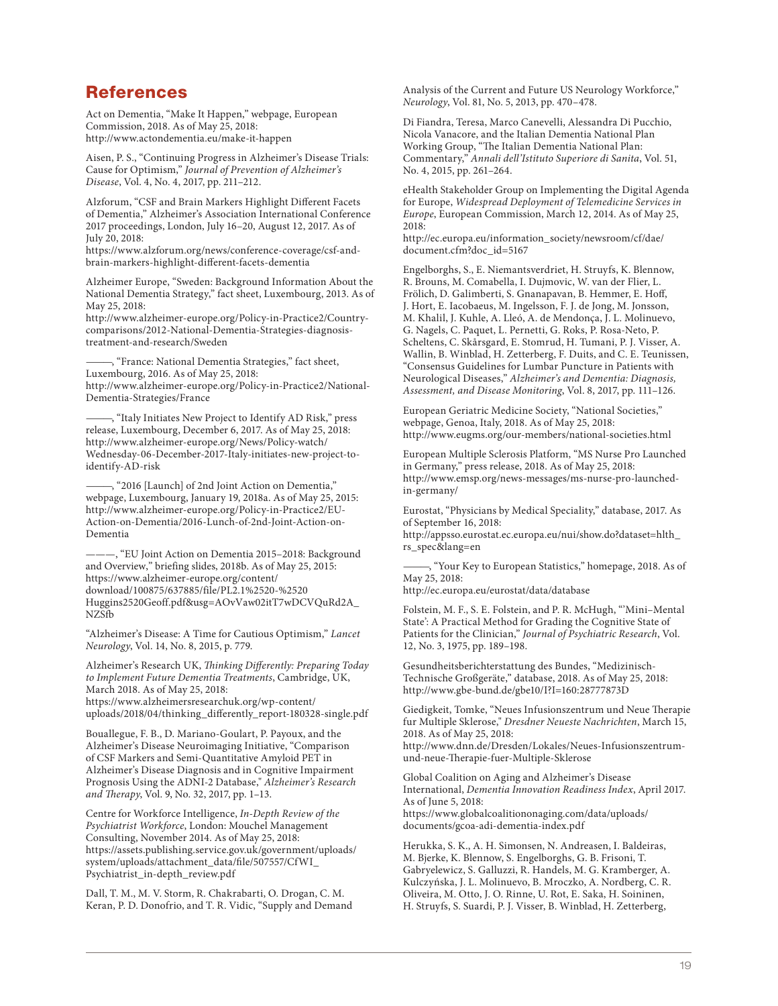## References

Act on Dementia, "Make It Happen," webpage, European Commission, 2018. As of May 25, 2018: <http://www.actondementia.eu/make-it-happen>

Aisen, P. S., "Continuing Progress in Alzheimer's Disease Trials: Cause for Optimism," *Journal of Prevention of Alzheimer's Disease*, Vol. 4, No. 4, 2017, pp. 211–212.

Alzforum, "CSF and Brain Markers Highlight Different Facets of Dementia," Alzheimer's Association International Conference 2017 proceedings, London, July 16–20, August 12, 2017. As of July 20, 2018:

[https://www.alzforum.org/news/conference-coverage/csf-and](https://www.alzforum.org/news/conference-coverage/csf-and-brain-markers-highlight-different-facets-dementia)brain-markers-highlight-different-facets-dementia

Alzheimer Europe, "Sweden: Background Information About the National Dementia Strategy," fact sheet, Luxembourg, 2013. As of May 25, 2018:

[http://www.alzheimer-europe.org/Policy-in-Practice2/Country](http://www.alzheimer-europe.org/Policy-in-Practice2/Country-comparisons/2012-National-Dementia-Strategies-diagnosis-treatment-and-research/Sweden)comparisons/2012-National-Dementia-Strategies-diagnosistreatment-and-research/Sweden

-, "France: National Dementia Strategies," fact sheet, Luxembourg, 2016. As of May 25, 2018: [http://www.alzheimer-europe.org/Policy-in-Practice2/National-](http://www.alzheimer-europe.org/Policy-in-Practice2/National-Dementia-Strategies/France)Dementia-Strategies/France

———, "Italy Initiates New Project to Identify AD Risk," press release, Luxembourg, December 6, 2017. As of May 25, 2018: http://www.alzheimer-europe.org/News/Policy-watch/ [Wednesday-06-December-2017-Italy-initiates-new-project-to](http://www.alzheimer-europe.org/News/Policy-watch/Wednesday-06-December-2017-Italy-initiates-new-project-to-identify-AD-risk)identify-AD-risk

———, "2016 [Launch] of 2nd Joint Action on Dementia," webpage, Luxembourg, January 19, 2018a. As of May 25, 2015: [http://www.alzheimer-europe.org/Policy-in-Practice2/EU-](http://www.alzheimer-europe.org/Policy-in-Practice2/EU-Action-on-Dementia/2016-Lunch-of-2nd-Joint-Action-on-Dementia)Action-on-Dementia/2016-Lunch-of-2nd-Joint-Action-on-Dementia

———, "EU Joint Action on Dementia 2015–2018: Background and Overview," briefing slides, 2018b. As of May 25, 2015: https://www.alzheimer-europe.org/content/ download/100875/637885/file/PL2.1%2520-%2520 [Huggins2520Geoff.pdf&usg=AOvVaw02itT7wDCVQuRd2A\\_](https://www.alzheimer-europe.org/content/download/100875/637885/file/PL2.1%2520-%2520Huggins%2520Geoff.pdf&usg=AOvVaw02itT7wDCVQuRd2A_NZSfb) NZSfb

"Alzheimer's Disease: A Time for Cautious Optimism," *Lancet Neurology*, Vol. 14, No. 8, 2015, p. 779.

Alzheimer's Research UK, *Thinking Differently: Preparing Today to Implement Future Dementia Treatments*, Cambridge, UK, March 2018. As of May 25, 2018: https://www.alzheimersresearchuk.org/wp-content/ [uploads/2018/04/thinking\\_differently\\_report-180328-single.pdf](https://www.alzheimersresearchuk.org/wp-content/uploads/2018/04/thinking_differently_report-180328-single.pdf)

Bouallegue, F. B., D. Mariano-Goulart, P. Payoux, and the Alzheimer's Disease Neuroimaging Initiative, "Comparison of CSF Markers and Semi-Quantitative Amyloid PET in Alzheimer's Disease Diagnosis and in Cognitive Impairment Prognosis Using the ADNI-2 Database," *Alzheimer's Research and Therapy*, Vol. 9, No. 32, 2017, pp. 1–13.

Centre for Workforce Intelligence, *In-Depth Review of the Psychiatrist Workforce*, London: Mouchel Management Consulting, November 2014. As of May 25, 2018: [https://assets.publishing.service.gov.uk/government/uploads/](https://assets.publishing.service.gov.uk/government/uploads/system/uploads/attachment_data/file/507557/CfWI_Psychiatrist_in-depth_review.pdf) system/uploads/attachment\_data/file/507557/CfWI\_ Psychiatrist\_in-depth\_review.pdf

Dall, T. M., M. V. Storm, R. Chakrabarti, O. Drogan, C. M. Keran, P. D. Donofrio, and T. R. Vidic, "Supply and Demand

Analysis of the Current and Future US Neurology Workforce," *Neurology*, Vol. 81, No. 5, 2013, pp. 470–478.

Di Fiandra, Teresa, Marco Canevelli, Alessandra Di Pucchio, Nicola Vanacore, and the Italian Dementia National Plan Working Group, "The Italian Dementia National Plan: Commentary," *Annali dell'Istituto Superiore di Sanita*, Vol. 51, No. 4, 2015, pp. 261–264.

eHealth Stakeholder Group on Implementing the Digital Agenda for Europe, *Widespread Deployment of Telemedicine Services in Europe*, European Commission, March 12, 2014. As of May 25, 2018:

[http://ec.europa.eu/information\\_society/newsroom/cf/dae/](http://ec.europa.eu/information_society/newsroom/cf/dae/document.cfm?doc_id=5167) document.cfm?doc\_id=5167

Engelborghs, S., E. Niemantsverdriet, H. Struyfs, K. Blennow, R. Brouns, M. Comabella, I. Dujmovic, W. van der Flier, L. Frölich, D. Galimberti, S. Gnanapavan, B. Hemmer, E. Hoff, J. Hort, E. Iacobaeus, M. Ingelsson, F. J. de Jong, M. Jonsson, M. Khalil, J. Kuhle, A. Lleó, A. de Mendonça, J. L. Molinuevo, G. Nagels, C. Paquet, L. Pernetti, G. Roks, P. Rosa-Neto, P. Scheltens, C. Skårsgard, E. Stomrud, H. Tumani, P. J. Visser, A. Wallin, B. Winblad, H. Zetterberg, F. Duits, and C. E. Teunissen, "Consensus Guidelines for Lumbar Puncture in Patients with Neurological Diseases," *Alzheimer's and Dementia: Diagnosis, Assessment, and Disease Monitoring*, Vol. 8, 2017, pp. 111–126.

European Geriatric Medicine Society, "National Societies," webpage, Genoa, Italy, 2018. As of May 25, 2018: <http://www.eugms.org/our-members/national-societies.html>

European Multiple Sclerosis Platform, "MS Nurse Pro Launched in Germany," press release, 2018. As of May 25, 2018: [http://www.emsp.org/news-messages/ms-nurse-pro-launched](http://www.emsp.org/news-messages/ms-nurse-pro-launched-in-germany/)in-germany/

Eurostat, "Physicians by Medical Speciality," database, 2017. As of September 16, 2018:

[http://appsso.eurostat.ec.europa.eu/nui/show.do?dataset=hlth\\_](http://appsso.eurostat.ec.europa.eu/nui/show.do?dataset=hlth_rs_spec&lang=en) rs\_spec&lang=en

-, "Your Key to European Statistics," homepage, 2018. As of May 25, 2018:

<http://ec.europa.eu/eurostat/data/database>

Folstein, M. F., S. E. Folstein, and P. R. McHugh, "'Mini–Mental State': A Practical Method for Grading the Cognitive State of Patients for the Clinician," *Journal of Psychiatric Research*, Vol. 12, No. 3, 1975, pp. 189–198.

Gesundheitsberichterstattung des Bundes, "Medizinisch-Technische Großgeräte," database, 2018. As of May 25, 2018: <http://www.gbe-bund.de/gbe10/I?I=160:28777873D>

Giedigkeit, Tomke, "Neues Infusionszentrum und Neue Therapie fur Multiple Sklerose," *Dresdner Neueste Nachrichten*, March 15, 2018. As of May 25, 2018:

[http://www.dnn.de/Dresden/Lokales/Neues-Infusionszentrum](http://www.dnn.de/Dresden/Lokales/Neues-Infusionszentrum-und-neue-Therapie-fuer-Multiple-Sklerose)und-neue-Therapie-fuer-Multiple-Sklerose

Global Coalition on Aging and Alzheimer's Disease International, *Dementia Innovation Readiness Index*, April 2017. As of June 5, 2018: [https://www.globalcoalitiononaging.com/data/uploads/](https://www.globalcoalitiononaging.com/data/uploads/documents/gcoa-adi-dementia-index.pdf) documents/gcoa-adi-dementia-index.pdf

Herukka, S. K., A. H. Simonsen, N. Andreasen, I. Baldeiras, M. Bjerke, K. Blennow, S. Engelborghs, G. B. Frisoni, T. Gabryelewicz, S. Galluzzi, R. Handels, M. G. Kramberger, A. Kulczyńska, J. L. Molinuevo, B. Mroczko, A. Nordberg, C. R. Oliveira, M. Otto, J. O. Rinne, U. Rot, E. Saka, H. Soininen, H. Struyfs, S. Suardi, P. J. Visser, B. Winblad, H. Zetterberg,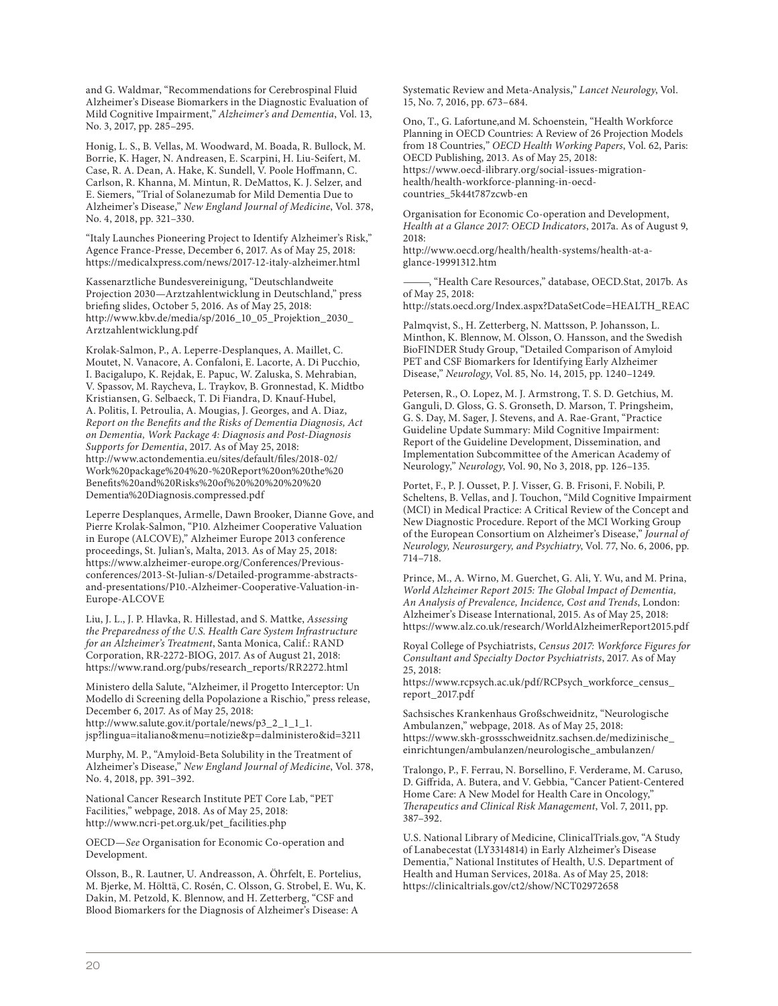and G. Waldmar, "Recommendations for Cerebrospinal Fluid Alzheimer's Disease Biomarkers in the Diagnostic Evaluation of Mild Cognitive Impairment," *Alzheimer's and Dementia*, Vol. 13, No. 3, 2017, pp. 285–295.

Honig, L. S., B. Vellas, M. Woodward, M. Boada, R. Bullock, M. Borrie, K. Hager, N. Andreasen, E. Scarpini, H. Liu-Seifert, M. Case, R. A. Dean, A. Hake, K. Sundell, V. Poole Hoffmann, C. Carlson, R. Khanna, M. Mintun, R. DeMattos, K. J. Selzer, and E. Siemers, "Trial of Solanezumab for Mild Dementia Due to Alzheimer's Disease," *New England Journal of Medicine*, Vol. 378, No. 4, 2018, pp. 321–330.

"Italy Launches Pioneering Project to Identify Alzheimer's Risk," Agence France-Presse, December 6, 2017. As of May 25, 2018: <https://medicalxpress.com/news/2017-12-italy-alzheimer.html>

Kassenarztliche Bundesvereinigung, "Deutschlandweite Projection 2030—Arztzahlentwicklung in Deutschland," press briefing slides, October 5, 2016. As of May 25, 2018: [http://www.kbv.de/media/sp/2016\\_10\\_05\\_Projektion\\_2030\\_](http://www.kbv.de/media/sp/2016_10_05_Projektion_2030_Arztzahlentwicklung.pdf) Arztzahlentwicklung.pdf

Krolak-Salmon, P., A. Leperre-Desplanques, A. Maillet, C. Moutet, N. Vanacore, A. Confaloni, E. Lacorte, A. Di Pucchio, I. Bacigalupo, K. Rejdak, E. Papuc, W. Zaluska, S. Mehrabian, V. Spassov, M. Raycheva, L. Traykov, B. Gronnestad, K. Midtbo Kristiansen, G. Selbaeck, T. Di Fiandra, D. Knauf-Hubel, A. Politis, I. Petroulia, A. Mougias, J. Georges, and A. Diaz, *Report on the Benefits and the Risks of Dementia Diagnosis, Act on Dementia, Work Package 4: Diagnosis and Post-Diagnosis Supports for Dementia*, 2017. As of May 25, 2018: http://www.actondementia.eu/sites/default/files/2018-02/ [Work%20package%204%20-%20Report%20on%20the%20](http://www.actondementia.eu/sites/default/files/2018-02/Work%20package%204%20-%20Report%20on%20the%20Benefits%20and%20Risks%20of%20%20%20%20%20Dementia%20Diagnosis.compressed.pdf) Benefits%20and%20Risks%20of%20%20%20%20%20 Dementia%20Diagnosis.compressed.pdf

Leperre Desplanques, Armelle, Dawn Brooker, Dianne Gove, and Pierre Krolak-Salmon, "P10. Alzheimer Cooperative Valuation in Europe (ALCOVE)," Alzheimer Europe 2013 conference proceedings, St. Julian's, Malta, 2013. As of May 25, 2018: https://www.alzheimer-europe.org/Conferences/Previousconferences/2013-St-Julian-s/Detailed-programme-abstracts[and-presentations/P10.-Alzheimer-Cooperative-Valuation-in-](https://www.alzheimer-europe.org/Conferences/Previous-conferences/2013-St-Julian-s/Detailed-programme-abstracts-and-presentations/P10.-Alzheimer-Cooperative-Valuation-in-Europe-ALCOVE)Europe-ALCOVE

Liu, J. L., J. P. Hlavka, R. Hillestad, and S. Mattke, *Assessing the Preparedness of the U.S. Health Care System Infrastructure for an Alzheimer's Treatment*, Santa Monica, Calif.: RAND Corporation, RR-2272-BIOG, 2017. As of August 21, 2018: [https://www.rand.org/pubs/research\\_reports/RR2272.html](https://www.rand.org/pubs/research_reports/RR2272.html)

Ministero della Salute, "Alzheimer, il Progetto Interceptor: Un Modello di Screening della Popolazione a Rischio," press release, December 6, 2017. As of May 25, 2018: http://www.salute.gov.it/portale/news/p3\_2\_1\_1\_1. [jsp?lingua=italiano&menu=notizie&p=dalministero&id=3211](http://www.salute.gov.it/portale/news/p3_2_1_1_1.jsp?lingua=italiano&menu=notizie&p=dalministero&id=3211)

Murphy, M. P., "Amyloid-Beta Solubility in the Treatment of Alzheimer's Disease," *New England Journal of Medicine*, Vol. 378, No. 4, 2018, pp. 391–392.

National Cancer Research Institute PET Core Lab, "PET Facilities," webpage, 2018. As of May 25, 2018: [http://www.ncri-pet.org.uk/pet\\_facilities.php](http://www.ncri-pet.org.uk/pet_facilities.php)

OECD—*See* Organisation for Economic Co-operation and Development.

Olsson, B., R. Lautner, U. Andreasson, A. Öhrfelt, E. Portelius, M. Bjerke, M. Hölttä, C. Rosén, C. Olsson, G. Strobel, E. Wu, K. Dakin, M. Petzold, K. Blennow, and H. Zetterberg, "CSF and Blood Biomarkers for the Diagnosis of Alzheimer's Disease: A

Systematic Review and Meta-Analysis," *Lancet Neurology*, Vol. 15, No. 7, 2016, pp. 673–684.

Ono, T., G. Lafortune,and M. Schoenstein, "Health Workforce Planning in OECD Countries: A Review of 26 Projection Models from 18 Countries," *OECD Health Working Papers*, Vol. 62, Paris: OECD Publishing, 2013. As of May 25, 2018: [https://www.oecd-ilibrary.org/social-issues-migration](https://www.oecd-ilibrary.org/social-issues-migration-health/health-workforce-planning-in-oecd-countries_5k44t787zcwb-en)health/health-workforce-planning-in-oecdcountries\_5k44t787zcwb-en

Organisation for Economic Co-operation and Development, *Health at a Glance 2017: OECD Indicators*, 2017a. As of August 9, 2018: [http://www.oecd.org/health/health-systems/health-at-a-](http://www.oecd.org/health/health-systems/health-at-a-glance-19991312.htm)

glance-19991312.htm

———, "Health Care Resources," database, OECD.Stat, 2017b. As of May 25, 2018:

[http://stats.oecd.org/Index.aspx?DataSetCode=HEALTH\\_REAC](http://stats.oecd.org/Index.aspx?DataSetCode=HEALTH_REAC)

Palmqvist, S., H. Zetterberg, N. Mattsson, P. Johansson, L. Minthon, K. Blennow, M. Olsson, O. Hansson, and the Swedish BioFINDER Study Group, "Detailed Comparison of Amyloid PET and CSF Biomarkers for Identifying Early Alzheimer Disease," *Neurology*, Vol. 85, No. 14, 2015, pp. 1240–1249.

Petersen, R., O. Lopez, M. J. Armstrong, T. S. D. Getchius, M. Ganguli, D. Gloss, G. S. Gronseth, D. Marson, T. Pringsheim, G. S. Day, M. Sager, J. Stevens, and A. Rae-Grant, "Practice Guideline Update Summary: Mild Cognitive Impairment: Report of the Guideline Development, Dissemination, and Implementation Subcommittee of the American Academy of Neurology," *Neurology*, Vol. 90, No 3, 2018, pp. 126–135.

Portet, F., P. J. Ousset, P. J. Visser, G. B. Frisoni, F. Nobili, P. Scheltens, B. Vellas, and J. Touchon, "Mild Cognitive Impairment (MCI) in Medical Practice: A Critical Review of the Concept and New Diagnostic Procedure. Report of the MCI Working Group of the European Consortium on Alzheimer's Disease," *Journal of Neurology, Neurosurgery, and Psychiatry*, Vol. 77, No. 6, 2006, pp. 714–718.

Prince, M., A. Wirno, M. Guerchet, G. Ali, Y. Wu, and M. Prina, *World Alzheimer Report 2015: The Global Impact of Dementia, An Analysis of Prevalence, Incidence, Cost and Trends*, London: Alzheimer's Disease International, 2015. As of May 25, 2018: <https://www.alz.co.uk/research/WorldAlzheimerReport2015.pdf>

Royal College of Psychiatrists, *Census 2017: Workforce Figures for Consultant and Specialty Doctor Psychiatrists*, 2017. As of May 25, 2018:

[https://www.rcpsych.ac.uk/pdf/RCPsych\\_workforce\\_census\\_](https://www.rcpsych.ac.uk/pdf/RCPsych_workforce_census_report_2017.pdf) report\_2017.pdf

Sachsisches Krankenhaus Großschweidnitz, "Neurologische Ambulanzen," webpage, 2018. As of May 25, 2018: [https://www.skh-grossschweidnitz.sachsen.de/medizinische\\_](https://www.skh-grossschweidnitz.sachsen.de/medizinische_einrichtungen/ambulanzen/neurologische_ambulanzen/) einrichtungen/ambulanzen/neurologische\_ambulanzen/

Tralongo, P., F. Ferrau, N. Borsellino, F. Verderame, M. Caruso, D. Giffrida, A. Butera, and V. Gebbia, "Cancer Patient-Centered Home Care: A New Model for Health Care in Oncology," *Therapeutics and Clinical Risk Management*, Vol. 7, 2011, pp. 387–392.

U.S. National Library of Medicine, ClinicalTrials.gov, "A Study of Lanabecestat (LY3314814) in Early Alzheimer's Disease Dementia," National Institutes of Health, U.S. Department of Health and Human Services, 2018a. As of May 25, 2018: <https://clinicaltrials.gov/ct2/show/NCT02972658>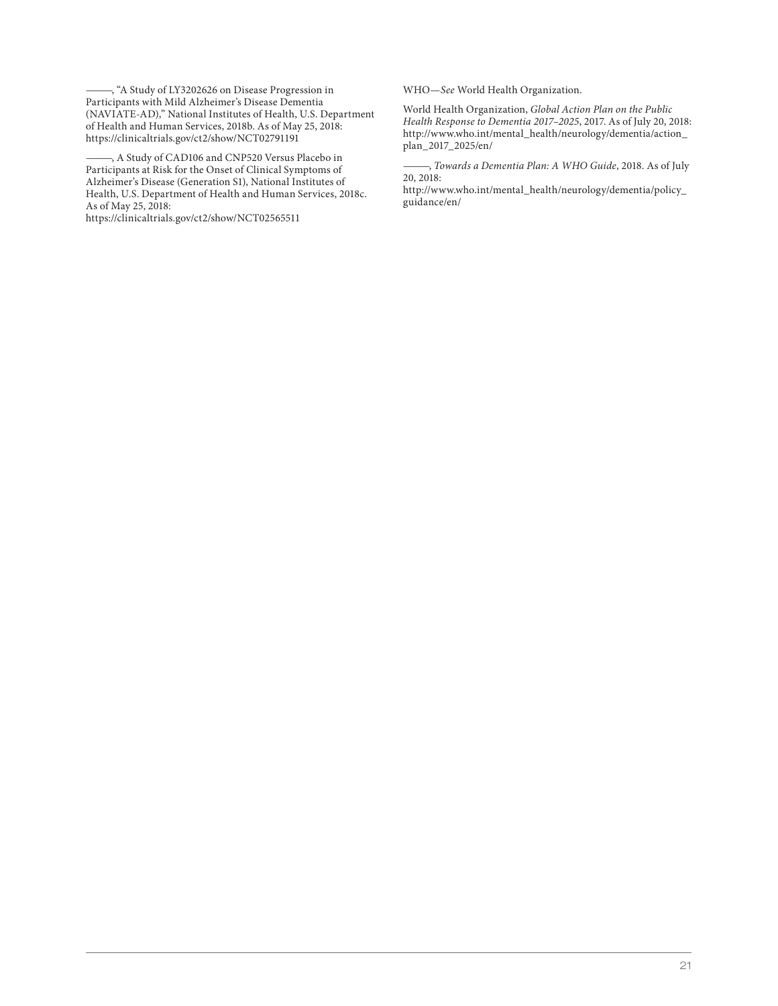———, "A Study of LY3202626 on Disease Progression in Participants with Mild Alzheimer's Disease Dementia (NAVIATE-AD)," National Institutes of Health, U.S. Department of Health and Human Services, 2018b. As of May 25, 2018: <https://clinicaltrials.gov/ct2/show/NCT02791191>

-, A Study of CAD106 and CNP520 Versus Placebo in Participants at Risk for the Onset of Clinical Symptoms of Alzheimer's Disease (Generation S1), National Institutes of Health, U.S. Department of Health and Human Services, 2018c. As of May 25, 2018:

<https://clinicaltrials.gov/ct2/show/NCT02565511>

WHO—*See* World Health Organization.

World Health Organization, *Global Action Plan on the Public Health Response to Dementia 2017–2025*, 2017. As of July 20, 2018: [http://www.who.int/mental\\_health/neurology/dementia/action\\_](http://www.who.int/mental_health/neurology/dementia/action_plan_2017_2025/en/) plan\_2017\_2025/en/

———, *Towards a Dementia Plan: A WHO Guide*, 2018. As of July 20, 2018:

[http://www.who.int/mental\\_health/neurology/dementia/policy\\_](http://www.who.int/mental_health/neurology/dementia/policy_guidance/en/) guidance/en/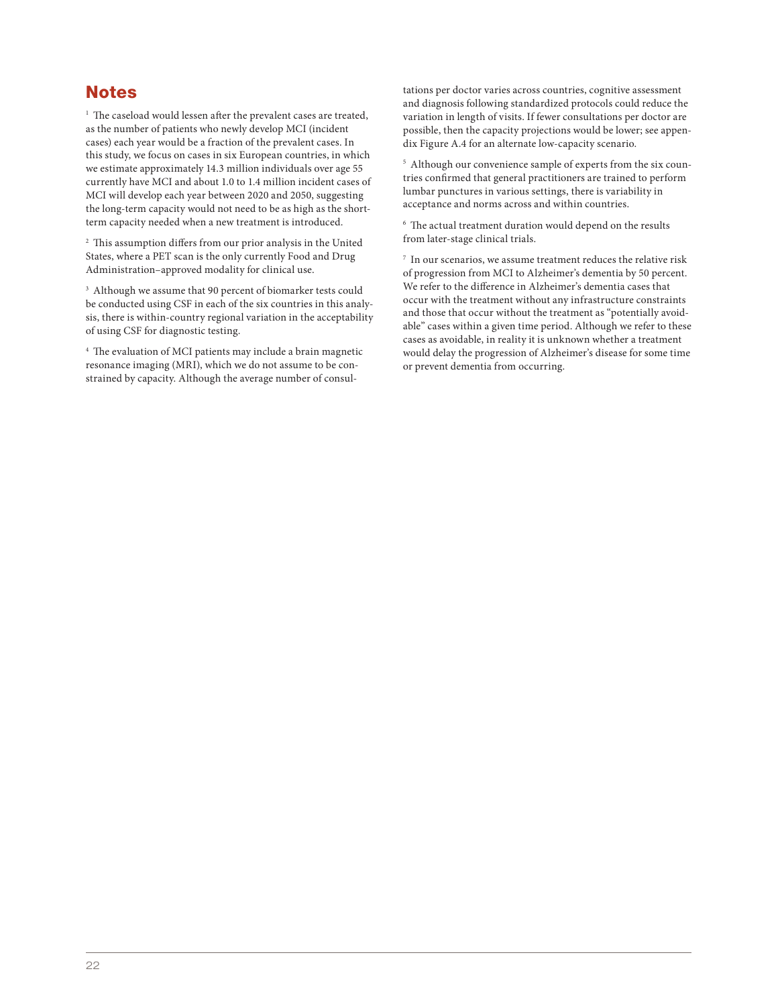## **Notes**

<sup>1</sup> The caseload would lessen after the prevalent cases are treated, as the number of patients who newly develop MCI (incident cases) each year would be a fraction of the prevalent cases. In this study, we focus on cases in six European countries, in which we estimate approximately 14.3 million individuals over age 55 currently have MCI and about 1.0 to 1.4 million incident cases of MCI will develop each year between 2020 and 2050, suggesting the long-term capacity would not need to be as high as the shortterm capacity needed when a new treatment is introduced.

<sup>2</sup> This assumption differs from our prior analysis in the United States, where a PET scan is the only currently Food and Drug Administration–approved modality for clinical use.

<sup>3</sup> Although we assume that 90 percent of biomarker tests could be conducted using CSF in each of the six countries in this analysis, there is within-country regional variation in the acceptability of using CSF for diagnostic testing.

<sup>4</sup> The evaluation of MCI patients may include a brain magnetic resonance imaging (MRI), which we do not assume to be constrained by capacity. Although the average number of consul-

tations per doctor varies across countries, cognitive assessment and diagnosis following standardized protocols could reduce the variation in length of visits. If fewer consultations per doctor are possible, then the capacity projections would be lower; see appendix Figure A.4 for an alternate low-capacity scenario.

<sup>5</sup> Although our convenience sample of experts from the six countries confirmed that general practitioners are trained to perform lumbar punctures in various settings, there is variability in acceptance and norms across and within countries.

<sup>6</sup> The actual treatment duration would depend on the results from later-stage clinical trials.

 $^7\,$  In our scenarios, we assume treatment reduces the relative risk of progression from MCI to Alzheimer's dementia by 50 percent. We refer to the difference in Alzheimer's dementia cases that occur with the treatment without any infrastructure constraints and those that occur without the treatment as "potentially avoidable" cases within a given time period. Although we refer to these cases as avoidable, in reality it is unknown whether a treatment would delay the progression of Alzheimer's disease for some time or prevent dementia from occurring.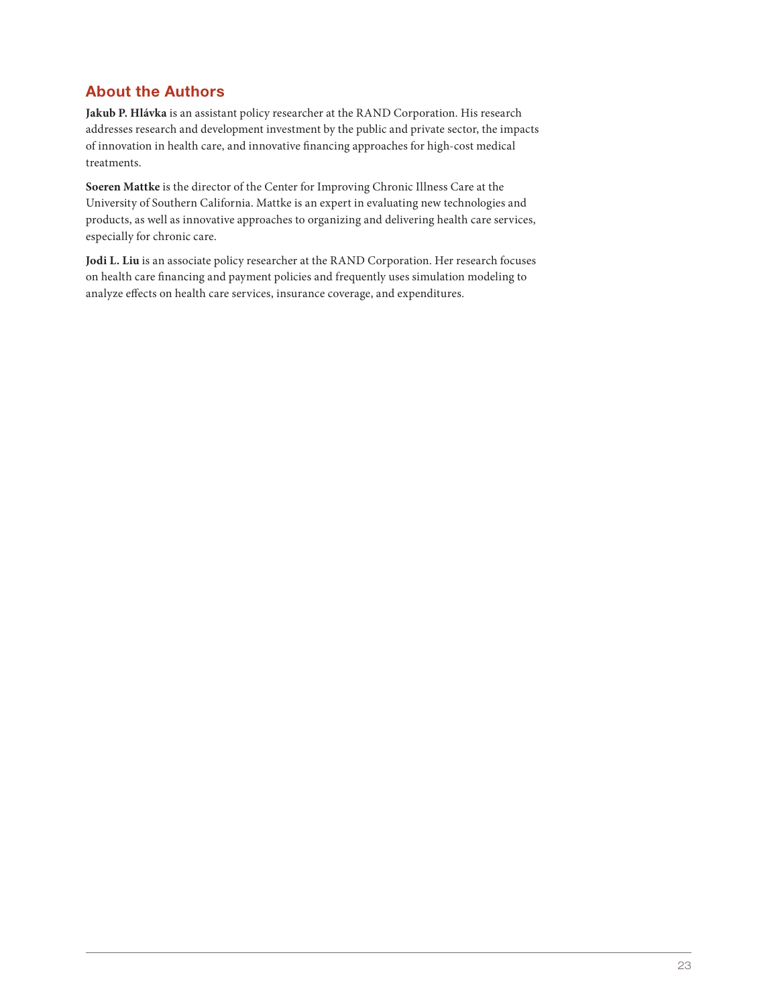## About the Authors

**Jakub P. Hlávka** is an assistant policy researcher at the RAND Corporation. His research addresses research and development investment by the public and private sector, the impacts of innovation in health care, and innovative financing approaches for high-cost medical treatments.

**Soeren Mattke** is the director of the Center for Improving Chronic Illness Care at the University of Southern California. Mattke is an expert in evaluating new technologies and products, as well as innovative approaches to organizing and delivering health care services, especially for chronic care.

**Jodi L. Liu** is an associate policy researcher at the RAND Corporation. Her research focuses on health care financing and payment policies and frequently uses simulation modeling to analyze effects on health care services, insurance coverage, and expenditures.